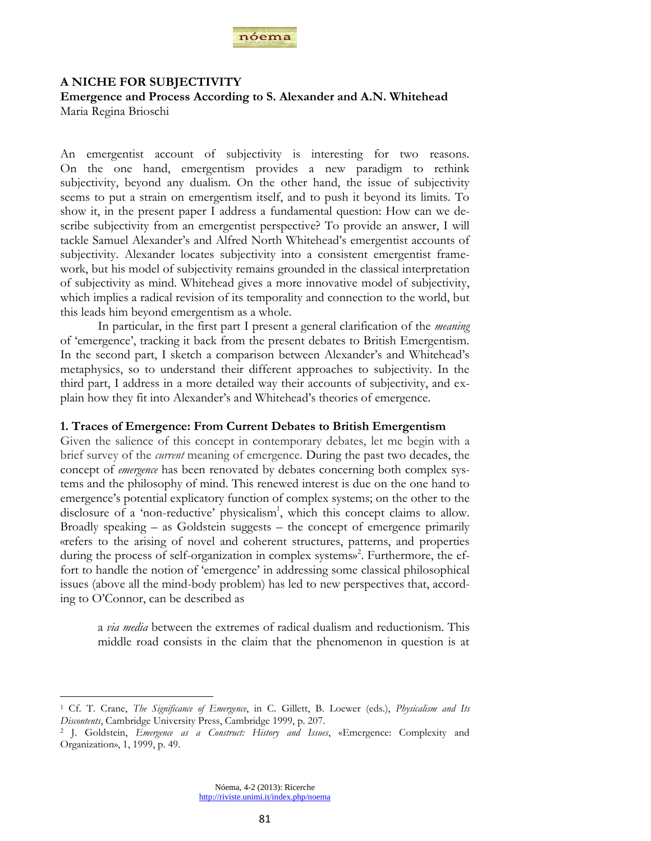

# **A NICHE FOR SUBJECTIVITY**

**Emergence and Process According to S. Alexander and A.N. Whitehead** Maria Regina Brioschi

An emergentist account of subjectivity is interesting for two reasons. On the one hand, emergentism provides a new paradigm to rethink subjectivity, beyond any dualism. On the other hand, the issue of subjectivity seems to put a strain on emergentism itself, and to push it beyond its limits. To show it, in the present paper I address a fundamental question: How can we describe subjectivity from an emergentist perspective? To provide an answer, I will tackle Samuel Alexander"s and Alfred North Whitehead"s emergentist accounts of subjectivity. Alexander locates subjectivity into a consistent emergentist framework, but his model of subjectivity remains grounded in the classical interpretation of subjectivity as mind. Whitehead gives a more innovative model of subjectivity, which implies a radical revision of its temporality and connection to the world, but this leads him beyond emergentism as a whole.

In particular, in the first part I present a general clarification of the *meaning* of "emergence", tracking it back from the present debates to British Emergentism. In the second part, I sketch a comparison between Alexander's and Whitehead's metaphysics, so to understand their different approaches to subjectivity. In the third part, I address in a more detailed way their accounts of subjectivity, and explain how they fit into Alexander"s and Whitehead"s theories of emergence.

# **1. Traces of Emergence: From Current Debates to British Emergentism**

Given the salience of this concept in contemporary debates, let me begin with a brief survey of the *current* meaning of emergence. During the past two decades, the concept of *emergence* has been renovated by debates concerning both complex systems and the philosophy of mind. This renewed interest is due on the one hand to emergence's potential explicatory function of complex systems; on the other to the disclosure of a 'non-reductive' physicalism<sup>1</sup>, which this concept claims to allow. Broadly speaking – as Goldstein suggests – the concept of emergence primarily «refers to the arising of novel and coherent structures, patterns, and properties during the process of self-organization in complex systems»<sup>2</sup>. Furthermore, the effort to handle the notion of "emergence" in addressing some classical philosophical issues (above all the mind-body problem) has led to new perspectives that, according to O"Connor, can be described as

a *via media* between the extremes of radical dualism and reductionism. This middle road consists in the claim that the phenomenon in question is at

<sup>1</sup> Cf. T. Crane, *The Significance of Emergence*, in C. Gillett, B. Loewer (eds.), *Physicalism and Its Discontents*, Cambridge University Press, Cambridge 1999, p. 207.

<sup>2</sup> J. Goldstein, *Emergence as a Construct: History and Issues*, «Emergence: Complexity and Organization», 1, 1999, p. 49.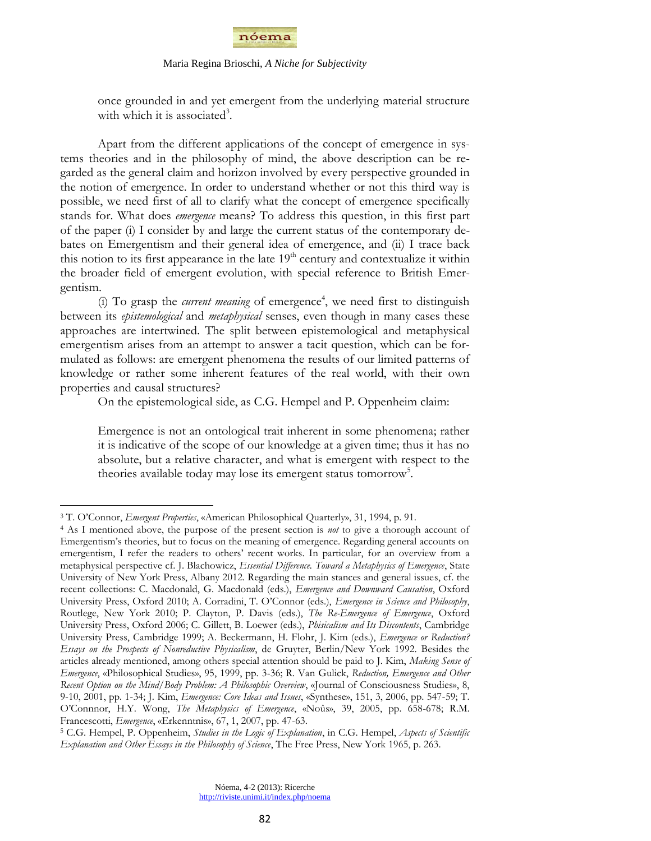

once grounded in and yet emergent from the underlying material structure with which it is associated<sup>3</sup>.

Apart from the different applications of the concept of emergence in systems theories and in the philosophy of mind, the above description can be regarded as the general claim and horizon involved by every perspective grounded in the notion of emergence. In order to understand whether or not this third way is possible, we need first of all to clarify what the concept of emergence specifically stands for. What does *emergence* means? To address this question, in this first part of the paper (i) I consider by and large the current status of the contemporary debates on Emergentism and their general idea of emergence, and (ii) I trace back this notion to its first appearance in the late  $19<sup>th</sup>$  century and contextualize it within the broader field of emergent evolution, with special reference to British Emergentism.

(i) To grasp the *current meaning* of emergence<sup>4</sup>, we need first to distinguish between its *epistemological* and *metaphysical* senses, even though in many cases these approaches are intertwined. The split between epistemological and metaphysical emergentism arises from an attempt to answer a tacit question, which can be formulated as follows: are emergent phenomena the results of our limited patterns of knowledge or rather some inherent features of the real world, with their own properties and causal structures?

On the epistemological side, as C.G. Hempel and P. Oppenheim claim:

Emergence is not an ontological trait inherent in some phenomena; rather it is indicative of the scope of our knowledge at a given time; thus it has no absolute, but a relative character, and what is emergent with respect to the theories available today may lose its emergent status tomorrow<sup>5</sup>.

<sup>3</sup> T. O"Connor, *Emergent Properties*, «American Philosophical Quarterly», 31, 1994, p. 91.

<sup>4</sup> As I mentioned above, the purpose of the present section is *not* to give a thorough account of Emergentism"s theories, but to focus on the meaning of emergence. Regarding general accounts on emergentism, I refer the readers to others" recent works. In particular, for an overview from a metaphysical perspective cf. J. Blachowicz, *Essential Difference. Toward a Metaphysics of Emergence*, State University of New York Press, Albany 2012. Regarding the main stances and general issues, cf. the recent collections: C. Macdonald, G. Macdonald (eds.), *Emergence and Downward Causation*, Oxford University Press, Oxford 2010; A. Corradini, T. O"Connor (eds.), *Emergence in Science and Philosophy*, Routlege, New York 2010; P. Clayton, P. Davis (eds.), *The Re-Emergence of Emergence*, Oxford University Press, Oxford 2006; C. Gillett, B. Loewer (eds.), *Phisicalism and Its Discontents*, Cambridge University Press, Cambridge 1999; A. Beckermann, H. Flohr, J. Kim (eds.), *Emergence or Reduction? Essays on the Prospects of Nonreductive Physicalism*, de Gruyter, Berlin/New York 1992. Besides the articles already mentioned, among others special attention should be paid to J. Kim, *Making Sense of Emergence*, «Philosophical Studies», 95, 1999, pp. 3-36; R. Van Gulick, *Reduction, Emergence and Other Recent Option on the Mind/Body Problem: A Philosophic Overview*, «Journal of Consciousness Studies», 8, 9-10, 2001, pp. 1-34; J. Kim, *Emergence: Core Ideas and Issues*, «Synthese», 151, 3, 2006, pp. 547-59; T. O"Connnor, H.Y. Wong, *The Metaphysics of Emergence*, «Noûs», 39, 2005, pp. 658-678; R.M. Francescotti, *Emergence*, «Erkenntnis», 67, 1, 2007, pp. 47-63.

<sup>5</sup> C.G. Hempel, P. Oppenheim, *Studies in the Logic of Explanation*, in C.G. Hempel, *Aspects of Scientific Explanation and Other Essays in the Philosophy of Science*, The Free Press, New York 1965, p. 263.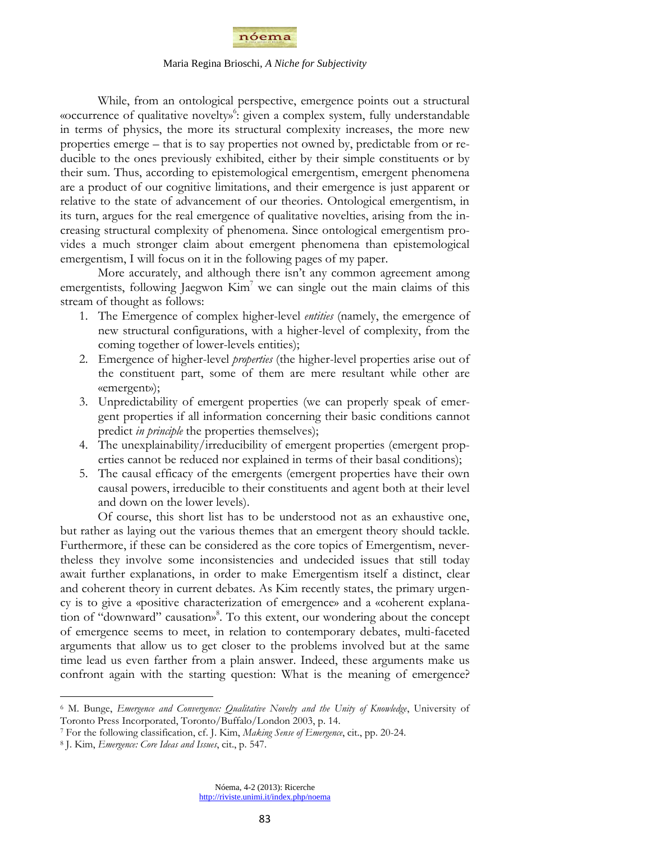

While, from an ontological perspective, emergence points out a structural «occurrence of qualitative novelty»<sup>6</sup>: given a complex system, fully understandable in terms of physics, the more its structural complexity increases, the more new properties emerge – that is to say properties not owned by, predictable from or reducible to the ones previously exhibited, either by their simple constituents or by their sum. Thus, according to epistemological emergentism, emergent phenomena are a product of our cognitive limitations, and their emergence is just apparent or relative to the state of advancement of our theories. Ontological emergentism, in its turn, argues for the real emergence of qualitative novelties, arising from the increasing structural complexity of phenomena. Since ontological emergentism provides a much stronger claim about emergent phenomena than epistemological emergentism, I will focus on it in the following pages of my paper.

More accurately, and although there isn't any common agreement among emergentists, following Jaegwon  $Kim<sup>7</sup>$  we can single out the main claims of this stream of thought as follows:

- 1. The Emergence of complex higher-level *entities* (namely, the emergence of new structural configurations, with a higher-level of complexity, from the coming together of lower-levels entities);
- 2. Emergence of higher-level *properties* (the higher-level properties arise out of the constituent part, some of them are mere resultant while other are «emergent»);
- 3. Unpredictability of emergent properties (we can properly speak of emergent properties if all information concerning their basic conditions cannot predict *in principle* the properties themselves);
- 4. The unexplainability/irreducibility of emergent properties (emergent properties cannot be reduced nor explained in terms of their basal conditions);
- 5. The causal efficacy of the emergents (emergent properties have their own causal powers, irreducible to their constituents and agent both at their level and down on the lower levels).

Of course, this short list has to be understood not as an exhaustive one, but rather as laying out the various themes that an emergent theory should tackle. Furthermore, if these can be considered as the core topics of Emergentism, nevertheless they involve some inconsistencies and undecided issues that still today await further explanations, in order to make Emergentism itself a distinct, clear and coherent theory in current debates. As Kim recently states, the primary urgency is to give a «positive characterization of emergence» and a «coherent explanation of "downward" causation» 8 . To this extent, our wondering about the concept of emergence seems to meet, in relation to contemporary debates, multi-faceted arguments that allow us to get closer to the problems involved but at the same time lead us even farther from a plain answer. Indeed, these arguments make us confront again with the starting question: What is the meaning of emergence?

<sup>6</sup> M. Bunge, *Emergence and Convergence: Qualitative Novelty and the Unity of Knowledge*, University of Toronto Press Incorporated, Toronto/Buffalo/London 2003, p. 14.

<sup>7</sup> For the following classification, cf. J. Kim, *Making Sense of Emergence*, cit., pp. 20-24.

<sup>8</sup> J. Kim, *Emergence: Core Ideas and Issues*, cit., p. 547.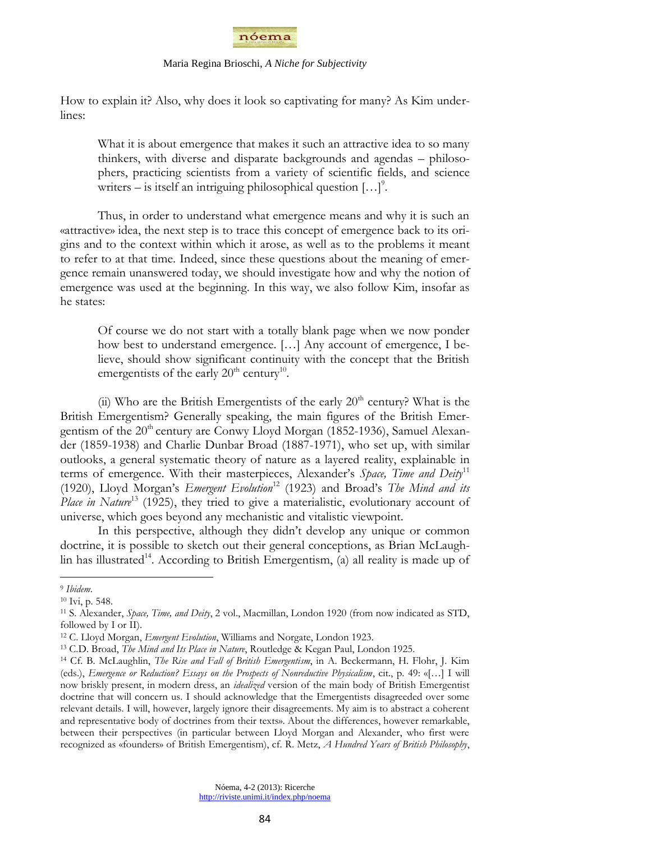

How to explain it? Also, why does it look so captivating for many? As Kim underlines:

What it is about emergence that makes it such an attractive idea to so many thinkers, with diverse and disparate backgrounds and agendas – philosophers, practicing scientists from a variety of scientific fields, and science writers – is itself an intriguing philosophical question  $[...]^2$ .

Thus, in order to understand what emergence means and why it is such an «attractive» idea, the next step is to trace this concept of emergence back to its origins and to the context within which it arose, as well as to the problems it meant to refer to at that time. Indeed, since these questions about the meaning of emergence remain unanswered today, we should investigate how and why the notion of emergence was used at the beginning. In this way, we also follow Kim, insofar as he states:

Of course we do not start with a totally blank page when we now ponder how best to understand emergence. […] Any account of emergence, I believe, should show significant continuity with the concept that the British emergentists of the early  $20<sup>th</sup>$  century<sup>10</sup>.

(ii) Who are the British Emergentists of the early  $20<sup>th</sup>$  century? What is the British Emergentism? Generally speaking, the main figures of the British Emergentism of the 20<sup>th</sup> century are Conwy Lloyd Morgan (1852-1936), Samuel Alexander (1859-1938) and Charlie Dunbar Broad (1887-1971), who set up, with similar outlooks, a general systematic theory of nature as a layered reality, explainable in terms of emergence. With their masterpieces, Alexander"s *Space, Time and Deity*<sup>11</sup> (1920), Lloyd Morgan"s *Emergent Evolution*<sup>12</sup> (1923) and Broad"s *The Mind and its*  Place in Nature<sup>13</sup> (1925), they tried to give a materialistic, evolutionary account of universe, which goes beyond any mechanistic and vitalistic viewpoint.

In this perspective, although they didn"t develop any unique or common doctrine, it is possible to sketch out their general conceptions, as Brian McLaughlin has illustrated<sup>14</sup>. According to British Emergentism, (a) all reality is made up of

<sup>9</sup> *Ibidem*.

<sup>10</sup> Ivi, p. 548.

<sup>11</sup> S. Alexander, *Space, Time, and Deity*, 2 vol., Macmillan, London 1920 (from now indicated as STD, followed by I or II).

<sup>12</sup> C. Lloyd Morgan, *Emergent Evolution*, Williams and Norgate, London 1923.

<sup>13</sup> C.D. Broad, *The Mind and Its Place in Nature*, Routledge & Kegan Paul, London 1925.

<sup>14</sup> Cf. B. McLaughlin, *The Rise and Fall of British Emergentism*, in A. Beckermann, H. Flohr, J. Kim (eds.), *Emergence or Reduction? Essays on the Prospects of Nonreductive Physicalism*, cit., p. 49: «[…] I will now briskly present, in modern dress, an *idealized* version of the main body of British Emergentist doctrine that will concern us. I should acknowledge that the Emergentists disagreeded over some relevant details. I will, however, largely ignore their disagreements. My aim is to abstract a coherent and representative body of doctrines from their texts». About the differences, however remarkable, between their perspectives (in particular between Lloyd Morgan and Alexander, who first were recognized as «founders» of British Emergentism), cf. R. Metz, *A Hundred Years of British Philosophy*,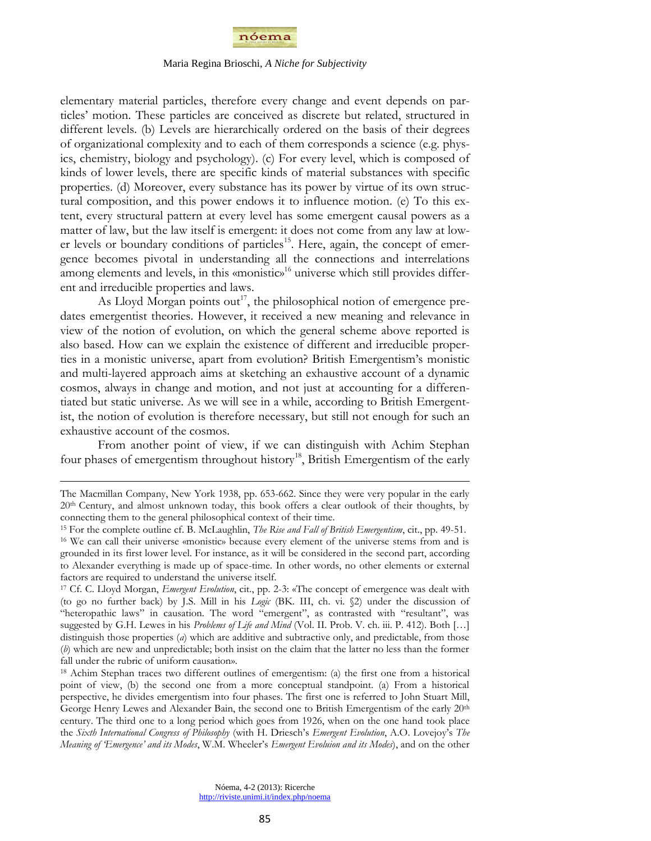

elementary material particles, therefore every change and event depends on particles" motion. These particles are conceived as discrete but related, structured in different levels. (b) Levels are hierarchically ordered on the basis of their degrees of organizational complexity and to each of them corresponds a science (e.g. physics, chemistry, biology and psychology). (c) For every level, which is composed of kinds of lower levels, there are specific kinds of material substances with specific properties. (d) Moreover, every substance has its power by virtue of its own structural composition, and this power endows it to influence motion. (e) To this extent, every structural pattern at every level has some emergent causal powers as a matter of law, but the law itself is emergent: it does not come from any law at lower levels or boundary conditions of particles<sup>15</sup>. Here, again, the concept of emergence becomes pivotal in understanding all the connections and interrelations among elements and levels, in this «monistic»<sup>16</sup> universe which still provides different and irreducible properties and laws.

As Lloyd Morgan points out<sup>17</sup>, the philosophical notion of emergence predates emergentist theories. However, it received a new meaning and relevance in view of the notion of evolution, on which the general scheme above reported is also based. How can we explain the existence of different and irreducible properties in a monistic universe, apart from evolution? British Emergentism"s monistic and multi-layered approach aims at sketching an exhaustive account of a dynamic cosmos, always in change and motion, and not just at accounting for a differentiated but static universe. As we will see in a while, according to British Emergentist, the notion of evolution is therefore necessary, but still not enough for such an exhaustive account of the cosmos.

From another point of view, if we can distinguish with Achim Stephan four phases of emergentism throughout history<sup>18</sup>, British Emergentism of the early

The Macmillan Company, New York 1938, pp. 653-662. Since they were very popular in the early 20th Century, and almost unknown today, this book offers a clear outlook of their thoughts, by connecting them to the general philosophical context of their time.

<sup>15</sup> For the complete outline cf. B. McLaughlin, *The Rise and Fall of British Emergentism*, cit., pp. 49-51.

<sup>16</sup> We can call their universe «monistic» because every element of the universe stems from and is grounded in its first lower level. For instance, as it will be considered in the second part, according to Alexander everything is made up of space-time. In other words, no other elements or external factors are required to understand the universe itself.

<sup>17</sup> Cf. C. Lloyd Morgan, *Emergent Evolution*, cit., pp. 2-3: «The concept of emergence was dealt with (to go no further back) by J.S. Mill in his *Logic* (BK. III, ch. vi. §2) under the discussion of "heteropathic laws" in causation. The word "emergent", as contrasted with "resultant", was suggested by G.H. Lewes in his *Problems of Life and Mind* (Vol. II. Prob. V. ch. iii. P. 412). Both […] distinguish those properties (*a*) which are additive and subtractive only, and predictable, from those (*b*) which are new and unpredictable; both insist on the claim that the latter no less than the former fall under the rubric of uniform causation».

<sup>18</sup> Achim Stephan traces two different outlines of emergentism: (a) the first one from a historical point of view, (b) the second one from a more conceptual standpoint. (a) From a historical perspective, he divides emergentism into four phases. The first one is referred to John Stuart Mill, George Henry Lewes and Alexander Bain, the second one to British Emergentism of the early  $20<sup>th</sup>$ century. The third one to a long period which goes from 1926, when on the one hand took place the *Sixth International Congress of Philosophy* (with H. Driesch"s *Emergent Evolution*, A.O. Lovejoy"s *The Meaning of 'Emergence' and its Modes*, W.M. Wheeler"s *Emergent Evoluion and its Modes*), and on the other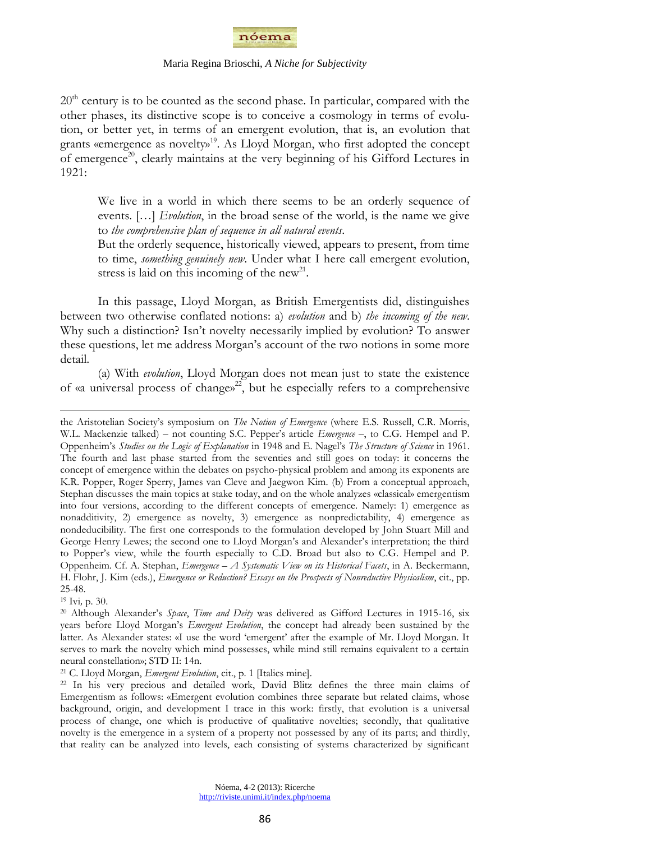

20<sup>th</sup> century is to be counted as the second phase. In particular, compared with the other phases, its distinctive scope is to conceive a cosmology in terms of evolution, or better yet, in terms of an emergent evolution, that is, an evolution that grants «emergence as novelty»<sup>19</sup>. As Lloyd Morgan, who first adopted the concept of emergence<sup>20</sup>, clearly maintains at the very beginning of his Gifford Lectures in 1921:

We live in a world in which there seems to be an orderly sequence of events. […] *Evolution*, in the broad sense of the world, is the name we give to *the comprehensive plan of sequence in all natural events*.

But the orderly sequence, historically viewed, appears to present, from time to time, *something genuinely new*. Under what I here call emergent evolution, stress is laid on this incoming of the new<sup>21</sup>.

In this passage, Lloyd Morgan, as British Emergentists did, distinguishes between two otherwise conflated notions: a) *evolution* and b) *the incoming of the new*. Why such a distinction? Isn't novelty necessarily implied by evolution? To answer these questions, let me address Morgan"s account of the two notions in some more detail.

(a) With *evolution*, Lloyd Morgan does not mean just to state the existence of «a universal process of change» <sup>22</sup>, but he especially refers to a comprehensive

<sup>19</sup> Ivi*,* p. 30.

 $\overline{a}$ 

<sup>21</sup> C. Lloyd Morgan, *Emergent Evolution*, cit., p. 1 [Italics mine].

the Aristotelian Society"s symposium on *The Notion of Emergence* (where E.S. Russell, C.R. Morris, W.L. Mackenzie talked) – not counting S.C. Pepper"s article *Emergence –*, to C.G. Hempel and P. Oppenheim"s *Studies on the Logic of Explanation* in 1948 and E. Nagel"s *The Structure of Science* in 1961. The fourth and last phase started from the seventies and still goes on today: it concerns the concept of emergence within the debates on psycho-physical problem and among its exponents are K.R. Popper, Roger Sperry, James van Cleve and Jaegwon Kim. (b) From a conceptual approach, Stephan discusses the main topics at stake today, and on the whole analyzes «classical» emergentism into four versions, according to the different concepts of emergence. Namely: 1) emergence as nonadditivity, 2) emergence as novelty, 3) emergence as nonpredictability, 4) emergence as nondeducibility. The first one corresponds to the formulation developed by John Stuart Mill and George Henry Lewes; the second one to Lloyd Morgan"s and Alexander"s interpretation; the third to Popper"s view, while the fourth especially to C.D. Broad but also to C.G. Hempel and P. Oppenheim. Cf. A. Stephan, *Emergence – A Systematic View on its Historical Facets*, in A. Beckermann, H. Flohr, J. Kim (eds.), *Emergence or Reduction? Essays on the Prospects of Nonreductive Physicalism*, cit., pp. 25-48.

<sup>20</sup> Although Alexander"s *Space*, *Time and Deity* was delivered as Gifford Lectures in 1915-16, six years before Lloyd Morgan"s *Emergent Evolution*, the concept had already been sustained by the latter. As Alexander states: «I use the word "emergent" after the example of Mr. Lloyd Morgan. It serves to mark the novelty which mind possesses, while mind still remains equivalent to a certain neural constellation»; STD II: 14n.

<sup>22</sup> In his very precious and detailed work, David Blitz defines the three main claims of Emergentism as follows: «Emergent evolution combines three separate but related claims, whose background, origin, and development I trace in this work: firstly, that evolution is a universal process of change, one which is productive of qualitative novelties; secondly, that qualitative novelty is the emergence in a system of a property not possessed by any of its parts; and thirdly, that reality can be analyzed into levels, each consisting of systems characterized by significant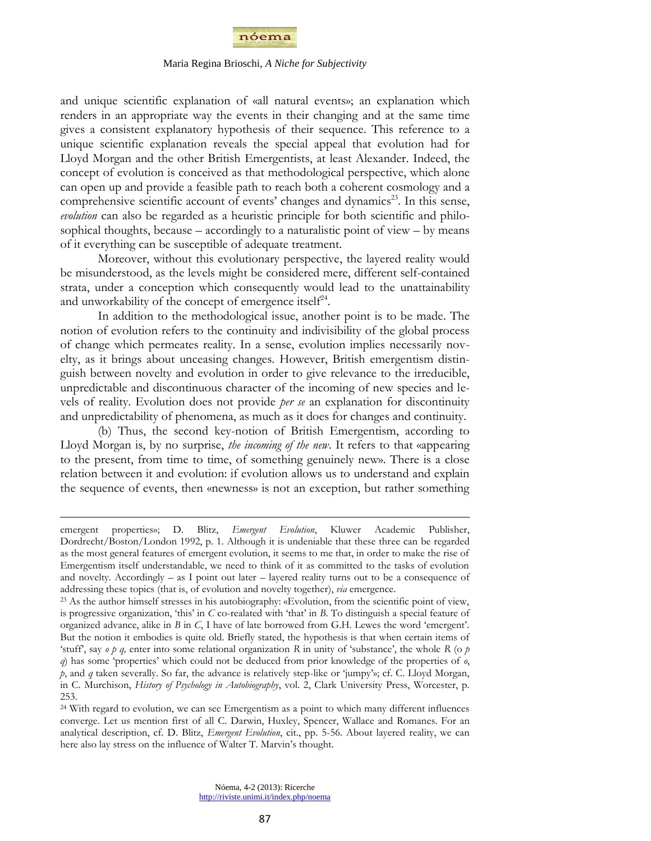

and unique scientific explanation of «all natural events»; an explanation which renders in an appropriate way the events in their changing and at the same time gives a consistent explanatory hypothesis of their sequence. This reference to a unique scientific explanation reveals the special appeal that evolution had for Lloyd Morgan and the other British Emergentists, at least Alexander. Indeed, the concept of evolution is conceived as that methodological perspective, which alone can open up and provide a feasible path to reach both a coherent cosmology and a comprehensive scientific account of events' changes and dynamics<sup>23</sup>. In this sense, *evolution* can also be regarded as a heuristic principle for both scientific and philosophical thoughts, because – accordingly to a naturalistic point of view – by means of it everything can be susceptible of adequate treatment.

Moreover, without this evolutionary perspective, the layered reality would be misunderstood, as the levels might be considered mere, different self-contained strata, under a conception which consequently would lead to the unattainability and unworkability of the concept of emergence itself $24$ .

In addition to the methodological issue, another point is to be made. The notion of evolution refers to the continuity and indivisibility of the global process of change which permeates reality. In a sense, evolution implies necessarily novelty, as it brings about unceasing changes. However, British emergentism distinguish between novelty and evolution in order to give relevance to the irreducible, unpredictable and discontinuous character of the incoming of new species and levels of reality. Evolution does not provide *per se* an explanation for discontinuity and unpredictability of phenomena, as much as it does for changes and continuity.

(b) Thus, the second key-notion of British Emergentism, according to Lloyd Morgan is, by no surprise, *the incoming of the new*. It refers to that «appearing to the present, from time to time, of something genuinely new». There is a close relation between it and evolution: if evolution allows us to understand and explain the sequence of events, then «newness» is not an exception, but rather something

emergent properties»; D. Blitz, *Emergent Evolution*, Kluwer Academic Publisher, Dordrecht/Boston/London 1992, p. 1. Although it is undeniable that these three can be regarded as the most general features of emergent evolution, it seems to me that, in order to make the rise of Emergentism itself understandable, we need to think of it as committed to the tasks of evolution and novelty. Accordingly  $-$  as I point out later  $-$  layered reality turns out to be a consequence of addressing these topics (that is, of evolution and novelty together), *via* emergence.

<sup>23</sup> As the author himself stresses in his autobiography: «Evolution, from the scientific point of view, is progressive organization, "this" in *C* co-realated with "that" in *B*. To distinguish a special feature of organized advance, alike in *B* in *C*, I have of late borrowed from G.H. Lewes the word "emergent". But the notion it embodies is quite old. Briefly stated, the hypothesis is that when certain items of "stuff", say *o p q,* enter into some relational organization *R* in unity of "substance", the whole *R* (o *p q*) has some "properties" which could not be deduced from prior knowledge of the properties of *o*, *p*, and *q* taken severally. So far, the advance is relatively step-like or "jumpy"»; cf. C. Lloyd Morgan, in C. Murchison, *History of Psychology in Autobiography*, vol. 2, Clark University Press, Worcester, p. 253.

<sup>24</sup> With regard to evolution, we can see Emergentism as a point to which many different influences converge. Let us mention first of all C. Darwin, Huxley, Spencer, Wallace and Romanes. For an analytical description, cf. D. Blitz, *Emergent Evolution*, cit., pp. 5-56. About layered reality, we can here also lay stress on the influence of Walter T. Marvin's thought.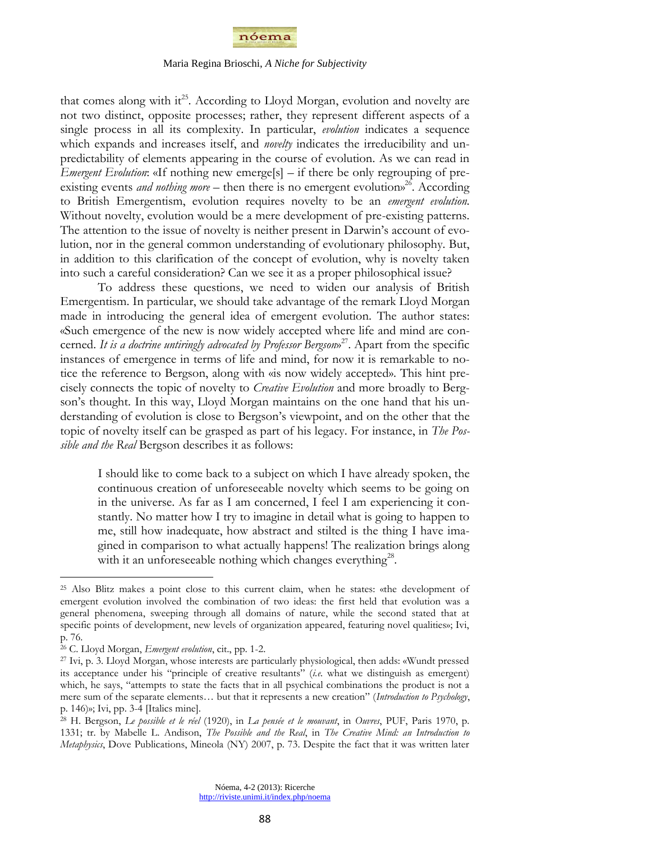

that comes along with it<sup>25</sup>. According to Lloyd Morgan, evolution and novelty are not two distinct, opposite processes; rather, they represent different aspects of a single process in all its complexity. In particular, *evolution* indicates a sequence which expands and increases itself, and *novelty* indicates the irreducibility and unpredictability of elements appearing in the course of evolution. As we can read in *Emergent Evolution*: «If nothing new emerge[s] – if there be only regrouping of preexisting events *and nothing more*  $-$  then there is no emergent evolutions<sup>26</sup>. According to British Emergentism, evolution requires novelty to be an *emergent evolution.*  Without novelty, evolution would be a mere development of pre-existing patterns. The attention to the issue of novelty is neither present in Darwin"s account of evolution, nor in the general common understanding of evolutionary philosophy. But, in addition to this clarification of the concept of evolution, why is novelty taken into such a careful consideration? Can we see it as a proper philosophical issue?

To address these questions, we need to widen our analysis of British Emergentism. In particular, we should take advantage of the remark Lloyd Morgan made in introducing the general idea of emergent evolution. The author states: «Such emergence of the new is now widely accepted where life and mind are concerned. *It is a doctrine untiringly advocated by Professor Bergson*» 27 . Apart from the specific instances of emergence in terms of life and mind, for now it is remarkable to notice the reference to Bergson, along with «is now widely accepted». This hint precisely connects the topic of novelty to *Creative Evolution* and more broadly to Bergson's thought. In this way, Lloyd Morgan maintains on the one hand that his understanding of evolution is close to Bergson"s viewpoint, and on the other that the topic of novelty itself can be grasped as part of his legacy. For instance, in *The Possible and the Real* Bergson describes it as follows:

I should like to come back to a subject on which I have already spoken, the continuous creation of unforeseeable novelty which seems to be going on in the universe. As far as I am concerned, I feel I am experiencing it constantly. No matter how I try to imagine in detail what is going to happen to me, still how inadequate, how abstract and stilted is the thing I have imagined in comparison to what actually happens! The realization brings along with it an unforeseeable nothing which changes everything<sup>28</sup>.

<sup>25</sup> Also Blitz makes a point close to this current claim, when he states: «the development of emergent evolution involved the combination of two ideas: the first held that evolution was a general phenomena, sweeping through all domains of nature, while the second stated that at specific points of development, new levels of organization appeared, featuring novel qualities»; Ivi, p. 76.

<sup>26</sup> C. Lloyd Morgan, *Emergent evolution*, cit., pp. 1-2.

<sup>27</sup> Ivi, p. 3. Lloyd Morgan, whose interests are particularly physiological, then adds: «Wundt pressed its acceptance under his "principle of creative resultants" (*i.e.* what we distinguish as emergent) which, he says, "attempts to state the facts that in all psychical combinations the product is not a mere sum of the separate elements… but that it represents a new creation" (*Introduction to Psychology*, p. 146)»; Ivi, pp. 3-4 [Italics mine].

<sup>28</sup> H. Bergson, *Le possible et le réel* (1920), in *La pensée et le mouvant*, in *Ouvres*, PUF, Paris 1970, p. 1331; tr. by Mabelle L. Andison, *The Possible and the Real*, in *The Creative Mind: an Introduction to Metaphysics*, Dove Publications, Mineola (NY) 2007, p. 73. Despite the fact that it was written later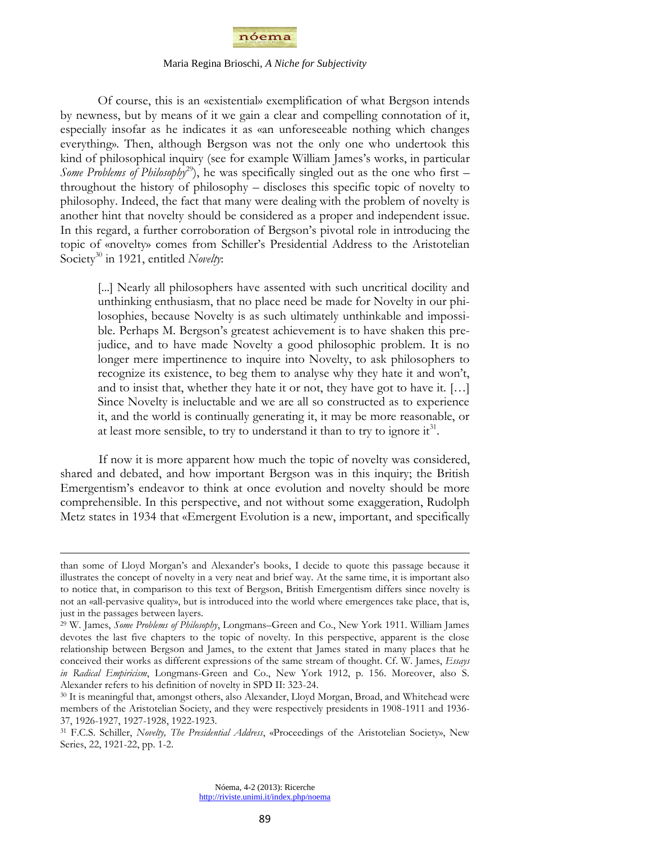

Of course, this is an «existential» exemplification of what Bergson intends by newness, but by means of it we gain a clear and compelling connotation of it, especially insofar as he indicates it as «an unforeseeable nothing which changes everything». Then, although Bergson was not the only one who undertook this kind of philosophical inquiry (see for example William James"s works, in particular *Some Problems of Philosophy*<sup>29</sup>), he was specifically singled out as the one who first – throughout the history of philosophy – discloses this specific topic of novelty to philosophy. Indeed, the fact that many were dealing with the problem of novelty is another hint that novelty should be considered as a proper and independent issue. In this regard, a further corroboration of Bergson"s pivotal role in introducing the topic of «novelty» comes from Schiller's Presidential Address to the Aristotelian Society<sup>30</sup> in 1921, entitled *Novelty*:

[...] Nearly all philosophers have assented with such uncritical docility and unthinking enthusiasm, that no place need be made for Novelty in our philosophies, because Novelty is as such ultimately unthinkable and impossible. Perhaps M. Bergson"s greatest achievement is to have shaken this prejudice, and to have made Novelty a good philosophic problem. It is no longer mere impertinence to inquire into Novelty, to ask philosophers to recognize its existence, to beg them to analyse why they hate it and won"t, and to insist that, whether they hate it or not, they have got to have it. […] Since Novelty is ineluctable and we are all so constructed as to experience it, and the world is continually generating it, it may be more reasonable, or at least more sensible, to try to understand it than to try to ignore it<sup>31</sup>.

If now it is more apparent how much the topic of novelty was considered, shared and debated, and how important Bergson was in this inquiry; the British Emergentism"s endeavor to think at once evolution and novelty should be more comprehensible. In this perspective, and not without some exaggeration, Rudolph Metz states in 1934 that «Emergent Evolution is a new, important, and specifically

than some of Lloyd Morgan"s and Alexander"s books, I decide to quote this passage because it illustrates the concept of novelty in a very neat and brief way. At the same time, it is important also to notice that, in comparison to this text of Bergson, British Emergentism differs since novelty is not an «all-pervasive quality», but is introduced into the world where emergences take place, that is, just in the passages between layers.

<sup>29</sup> W. James, *Some Problems of Philosophy*, Longmans–Green and Co., New York 1911. William James devotes the last five chapters to the topic of novelty. In this perspective, apparent is the close relationship between Bergson and James, to the extent that James stated in many places that he conceived their works as different expressions of the same stream of thought. Cf. W. James, *Essays in Radical Empiricism*, Longmans-Green and Co., New York 1912, p. 156. Moreover, also S. Alexander refers to his definition of novelty in SPD II: 323-24.

<sup>30</sup> It is meaningful that, amongst others, also Alexander, Lloyd Morgan, Broad, and Whitehead were members of the Aristotelian Society, and they were respectively presidents in 1908-1911 and 1936- 37, 1926-1927, 1927-1928, 1922-1923.

<sup>31</sup> F.C.S. Schiller, *Novelty, The Presidential Address*, «Proceedings of the Aristotelian Society», New Series, 22, 1921-22, pp. 1-2.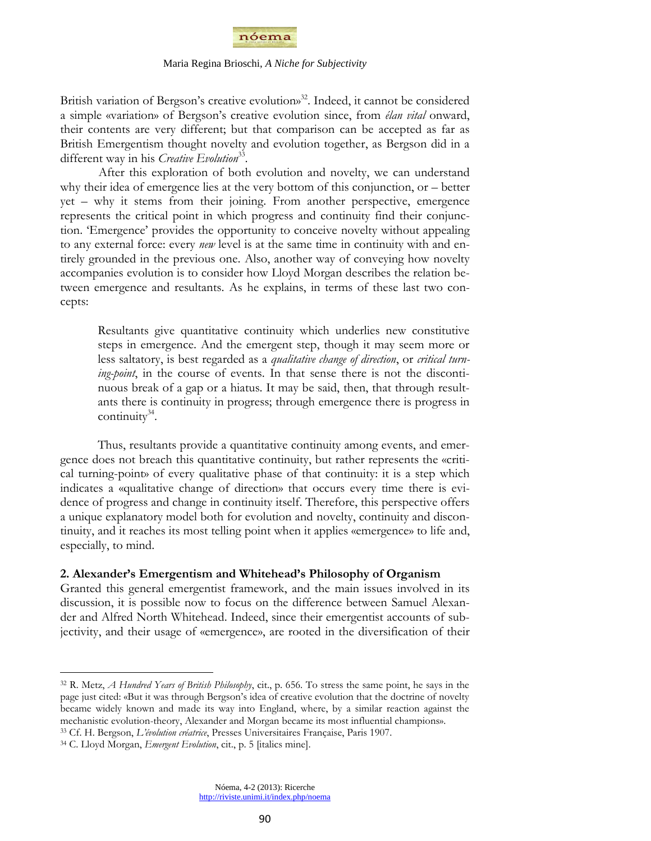

British variation of Bergson's creative evolution»<sup>32</sup>. Indeed, it cannot be considered a simple «variation» of Bergson"s creative evolution since, from *élan vital* onward, their contents are very different; but that comparison can be accepted as far as British Emergentism thought novelty and evolution together, as Bergson did in a different way in his *Creative Evolution*<sup>33</sup>.

After this exploration of both evolution and novelty, we can understand why their idea of emergence lies at the very bottom of this conjunction, or – better yet – why it stems from their joining. From another perspective, emergence represents the critical point in which progress and continuity find their conjunction. "Emergence" provides the opportunity to conceive novelty without appealing to any external force: every *new* level is at the same time in continuity with and entirely grounded in the previous one. Also, another way of conveying how novelty accompanies evolution is to consider how Lloyd Morgan describes the relation between emergence and resultants. As he explains, in terms of these last two concepts:

Resultants give quantitative continuity which underlies new constitutive steps in emergence. And the emergent step, though it may seem more or less saltatory, is best regarded as a *qualitative change of direction*, or *critical turning-point*, in the course of events. In that sense there is not the discontinuous break of a gap or a hiatus. It may be said, then, that through resultants there is continuity in progress; through emergence there is progress in continuity $34$ .

Thus, resultants provide a quantitative continuity among events, and emergence does not breach this quantitative continuity, but rather represents the «critical turning-point» of every qualitative phase of that continuity: it is a step which indicates a «qualitative change of direction» that occurs every time there is evidence of progress and change in continuity itself. Therefore, this perspective offers a unique explanatory model both for evolution and novelty, continuity and discontinuity, and it reaches its most telling point when it applies «emergence» to life and, especially, to mind.

## **2. Alexander's Emergentism and Whitehead's Philosophy of Organism**

Granted this general emergentist framework, and the main issues involved in its discussion, it is possible now to focus on the difference between Samuel Alexander and Alfred North Whitehead. Indeed, since their emergentist accounts of subjectivity, and their usage of «emergence», are rooted in the diversification of their

<sup>32</sup> R. Metz, *A Hundred Years of British Philosophy*, cit., p. 656. To stress the same point, he says in the page just cited: «But it was through Bergson"s idea of creative evolution that the doctrine of novelty became widely known and made its way into England, where, by a similar reaction against the mechanistic evolution-theory, Alexander and Morgan became its most influential champions».

<sup>33</sup> Cf. H. Bergson, *L'évolution créatrice*, Presses Universitaires Française, Paris 1907.

<sup>34</sup> C. Lloyd Morgan, *Emergent Evolution*, cit., p. 5 [italics mine].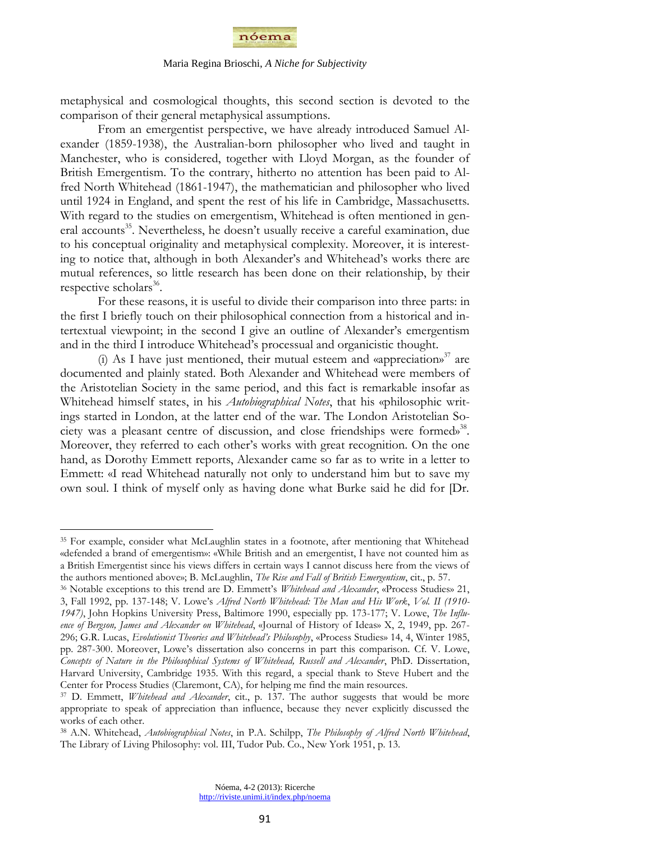

metaphysical and cosmological thoughts, this second section is devoted to the comparison of their general metaphysical assumptions.

From an emergentist perspective, we have already introduced Samuel Alexander (1859-1938), the Australian-born philosopher who lived and taught in Manchester, who is considered, together with Lloyd Morgan, as the founder of British Emergentism. To the contrary, hitherto no attention has been paid to Alfred North Whitehead (1861-1947), the mathematician and philosopher who lived until 1924 in England, and spent the rest of his life in Cambridge, Massachusetts. With regard to the studies on emergentism, Whitehead is often mentioned in general accounts<sup>35</sup>. Nevertheless, he doesn't usually receive a careful examination, due to his conceptual originality and metaphysical complexity. Moreover, it is interesting to notice that, although in both Alexander"s and Whitehead"s works there are mutual references, so little research has been done on their relationship, by their respective scholars<sup>36</sup>.

For these reasons, it is useful to divide their comparison into three parts: in the first I briefly touch on their philosophical connection from a historical and intertextual viewpoint; in the second I give an outline of Alexander"s emergentism and in the third I introduce Whitehead"s processual and organicistic thought.

(i) As I have just mentioned, their mutual esteem and «appreciation»<sup>37</sup> are documented and plainly stated. Both Alexander and Whitehead were members of the Aristotelian Society in the same period, and this fact is remarkable insofar as Whitehead himself states, in his *Autobiographical Notes*, that his «philosophic writings started in London, at the latter end of the war. The London Aristotelian Society was a pleasant centre of discussion, and close friendships were formed»<sup>38</sup>. Moreover, they referred to each other"s works with great recognition. On the one hand, as Dorothy Emmett reports, Alexander came so far as to write in a letter to Emmett: «I read Whitehead naturally not only to understand him but to save my own soul. I think of myself only as having done what Burke said he did for [Dr.

<sup>35</sup> For example, consider what McLaughlin states in a footnote, after mentioning that Whitehead «defended a brand of emergentism»: «While British and an emergentist, I have not counted him as a British Emergentist since his views differs in certain ways I cannot discuss here from the views of the authors mentioned above»; B. McLaughlin, *The Rise and Fall of British Emergentism*, cit., p. 57.

<sup>&</sup>lt;sup>36</sup> Notable exceptions to this trend are D. Emmett's *Whitehead and Alexander*, «Process Studies» 21, 3, Fall 1992, pp. 137-148; V. Lowe"s *Alfred North Whitehead: The Man and His Work*, *Vol. II (1910- 1947)*, John Hopkins University Press, Baltimore 1990, especially pp. 173-177; V. Lowe, *The Influence of Bergson, James and Alexander on Whitehead*, «Journal of History of Ideas» X, 2, 1949, pp. 267- 296; G.R. Lucas, *Evolutionist Theories and Whitehead's Philosophy*, «Process Studies» 14, 4, Winter 1985, pp. 287-300. Moreover, Lowe"s dissertation also concerns in part this comparison. Cf. V. Lowe, *Concepts of Nature in the Philosophical Systems of Whitehead, Russell and Alexander*, PhD. Dissertation, Harvard University, Cambridge 1935. With this regard, a special thank to Steve Hubert and the Center for Process Studies (Claremont, CA), for helping me find the main resources.

<sup>37</sup> D. Emmett, *Whitehead and Alexander*, cit., p. 137. The author suggests that would be more appropriate to speak of appreciation than influence, because they never explicitly discussed the works of each other.

<sup>38</sup> A.N. Whitehead, *Autobiographical Notes*, in P.A. Schilpp, *The Philosophy of Alfred North Whitehead*, The Library of Living Philosophy: vol. III, Tudor Pub. Co., New York 1951, p. 13.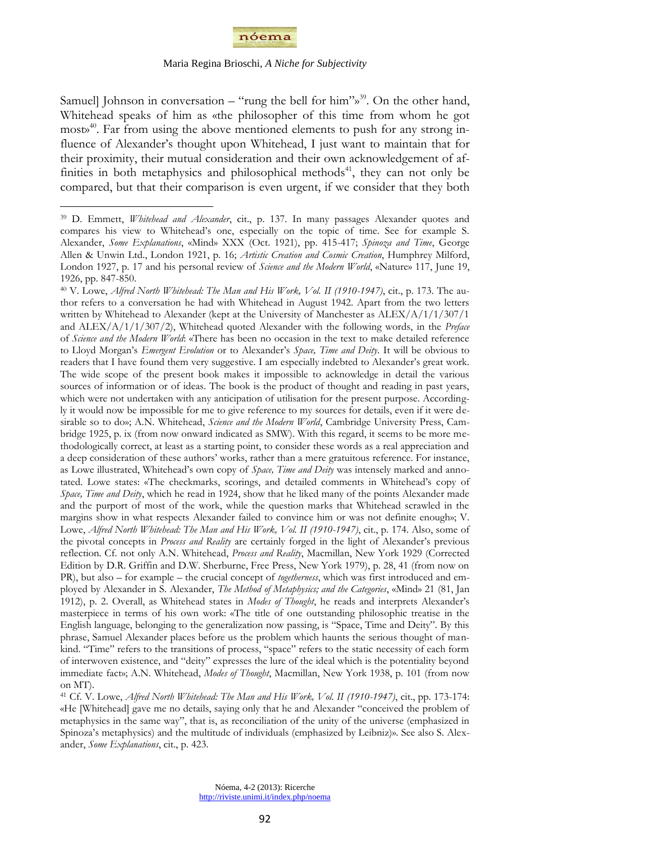

Samuell Johnson in conversation – "rung the bell for him"»<sup>39</sup>. On the other hand, Whitehead speaks of him as «the philosopher of this time from whom he got most»<sup>40</sup> . Far from using the above mentioned elements to push for any strong influence of Alexander's thought upon Whitehead, I just want to maintain that for their proximity, their mutual consideration and their own acknowledgement of affinities in both metaphysics and philosophical methods<sup>41</sup>, they can not only be compared, but that their comparison is even urgent, if we consider that they both

<sup>39</sup> D. Emmett, *Whitehead and Alexander*, cit., p. 137. In many passages Alexander quotes and compares his view to Whitehead"s one, especially on the topic of time. See for example S. Alexander, *Some Explanations*, «Mind» XXX (Oct. 1921), pp. 415-417; *Spinoza and Time*, George Allen & Unwin Ltd., London 1921, p. 16; *Artistic Creation and Cosmic Creation*, Humphrey Milford, London 1927, p. 17 and his personal review of *Science and the Modern World*, «Nature» 117, June 19, 1926, pp. 847-850.

<sup>40</sup> V. Lowe, *Alfred North Whitehead: The Man and His Work, Vol. II (1910-1947)*, cit., p. 173. The author refers to a conversation he had with Whitehead in August 1942. Apart from the two letters written by Whitehead to Alexander (kept at the University of Manchester as ALEX/A/1/1/307/1 and ALEX/A/1/1/307/2), Whitehead quoted Alexander with the following words, in the *Preface* of *Science and the Modern World*: «There has been no occasion in the text to make detailed reference to Lloyd Morgan"s *Emergent Evolution* or to Alexander"s *Space, Time and Deity*. It will be obvious to readers that I have found them very suggestive. I am especially indebted to Alexander"s great work. The wide scope of the present book makes it impossible to acknowledge in detail the various sources of information or of ideas. The book is the product of thought and reading in past years, which were not undertaken with any anticipation of utilisation for the present purpose. Accordingly it would now be impossible for me to give reference to my sources for details, even if it were desirable so to do»; A.N. Whitehead, *Science and the Modern World*, Cambridge University Press, Cambridge 1925, p. ix (from now onward indicated as SMW). With this regard, it seems to be more methodologically correct, at least as a starting point, to consider these words as a real appreciation and a deep consideration of these authors" works, rather than a mere gratuitous reference. For instance, as Lowe illustrated, Whitehead"s own copy of *Space, Time and Deity* was intensely marked and annotated. Lowe states: «The checkmarks, scorings, and detailed comments in Whitehead"s copy of *Space, Time and Deity*, which he read in 1924, show that he liked many of the points Alexander made and the purport of most of the work, while the question marks that Whitehead scrawled in the margins show in what respects Alexander failed to convince him or was not definite enough»; V. Lowe, *Alfred North Whitehead: The Man and His Work, Vol. II (1910-1947)*, cit., p. 174. Also, some of the pivotal concepts in *Process and Reality* are certainly forged in the light of Alexander"s previous reflection. Cf. not only A.N. Whitehead, *Process and Reality*, Macmillan, New York 1929 (Corrected Edition by D.R. Griffin and D.W. Sherburne, Free Press, New York 1979), p. 28, 41 (from now on PR), but also – for example – the crucial concept of *togetherness*, which was first introduced and employed by Alexander in S. Alexander, *The Method of Metaphysics; and the Categories*, «Mind» 21 (81, Jan 1912), p. 2. Overall, as Whitehead states in *Modes of Thought*, he reads and interprets Alexander"s masterpiece in terms of his own work: «The title of one outstanding philosophic treatise in the English language, belonging to the generalization now passing, is "Space, Time and Deity". By this phrase, Samuel Alexander places before us the problem which haunts the serious thought of mankind. "Time" refers to the transitions of process, "space" refers to the static necessity of each form of interwoven existence, and "deity" expresses the lure of the ideal which is the potentiality beyond immediate fact»; A.N. Whitehead, *Modes of Thought*, Macmillan, New York 1938, p. 101 (from now on MT).

<sup>41</sup> Cf. V. Lowe, *Alfred North Whitehead: The Man and His Work, Vol. II (1910-1947)*, cit., pp. 173-174: «He [Whitehead] gave me no details, saying only that he and Alexander "conceived the problem of metaphysics in the same way", that is, as reconciliation of the unity of the universe (emphasized in Spinoza"s metaphysics) and the multitude of individuals (emphasized by Leibniz)». See also S. Alexander, *Some Explanations*, cit., p. 423.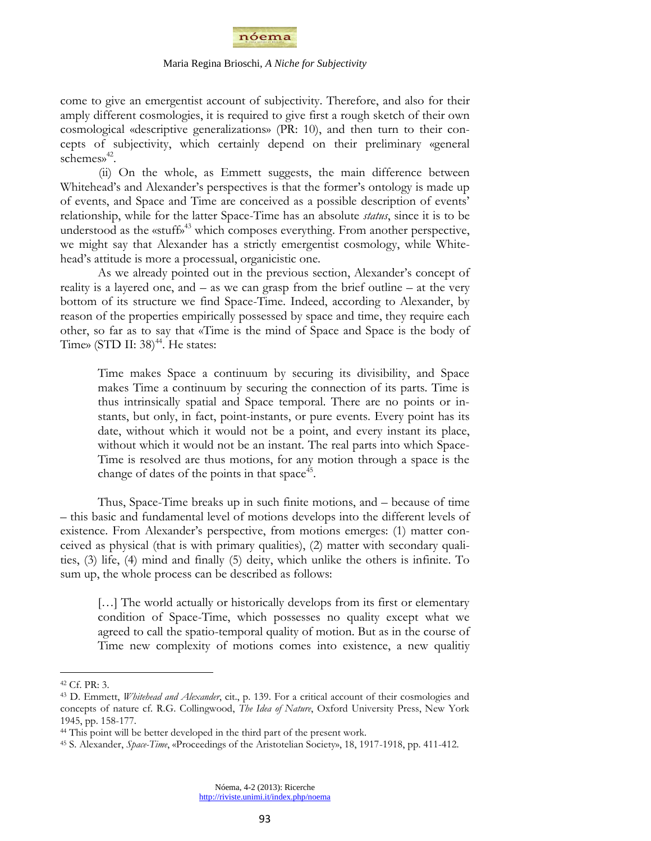

come to give an emergentist account of subjectivity. Therefore, and also for their amply different cosmologies, it is required to give first a rough sketch of their own cosmological «descriptive generalizations» (PR: 10), and then turn to their concepts of subjectivity, which certainly depend on their preliminary «general schemes» 42 .

(ii) On the whole, as Emmett suggests, the main difference between Whitehead's and Alexander's perspectives is that the former's ontology is made up of events, and Space and Time are conceived as a possible description of events" relationship, while for the latter Space-Time has an absolute *status*, since it is to be understood as the «stuff»<sup>43</sup> which composes everything. From another perspective, we might say that Alexander has a strictly emergentist cosmology, while Whitehead"s attitude is more a processual, organicistic one.

As we already pointed out in the previous section, Alexander's concept of reality is a layered one, and – as we can grasp from the brief outline – at the very bottom of its structure we find Space-Time. Indeed, according to Alexander, by reason of the properties empirically possessed by space and time, they require each other, so far as to say that «Time is the mind of Space and Space is the body of Time» (STD II:  $38$ )<sup>44</sup>. He states:

Time makes Space a continuum by securing its divisibility, and Space makes Time a continuum by securing the connection of its parts. Time is thus intrinsically spatial and Space temporal. There are no points or instants, but only, in fact, point-instants, or pure events. Every point has its date, without which it would not be a point, and every instant its place, without which it would not be an instant. The real parts into which Space-Time is resolved are thus motions, for any motion through a space is the change of dates of the points in that space<sup>45</sup>.

Thus, Space-Time breaks up in such finite motions, and – because of time – this basic and fundamental level of motions develops into the different levels of existence. From Alexander's perspective, from motions emerges: (1) matter conceived as physical (that is with primary qualities), (2) matter with secondary qualities, (3) life, (4) mind and finally (5) deity, which unlike the others is infinite. To sum up, the whole process can be described as follows:

[...] The world actually or historically develops from its first or elementary condition of Space-Time, which possesses no quality except what we agreed to call the spatio-temporal quality of motion. But as in the course of Time new complexity of motions comes into existence, a new qualitiy

<sup>42</sup> Cf. PR: 3.

<sup>43</sup> D. Emmett, *Whitehead and Alexander*, cit., p. 139. For a critical account of their cosmologies and concepts of nature cf. R.G. Collingwood, *The Idea of Nature*, Oxford University Press, New York 1945, pp. 158-177.

<sup>44</sup> This point will be better developed in the third part of the present work.

<sup>45</sup> S. Alexander, *Space-Time*, «Proceedings of the Aristotelian Society», 18, 1917-1918, pp. 411-412.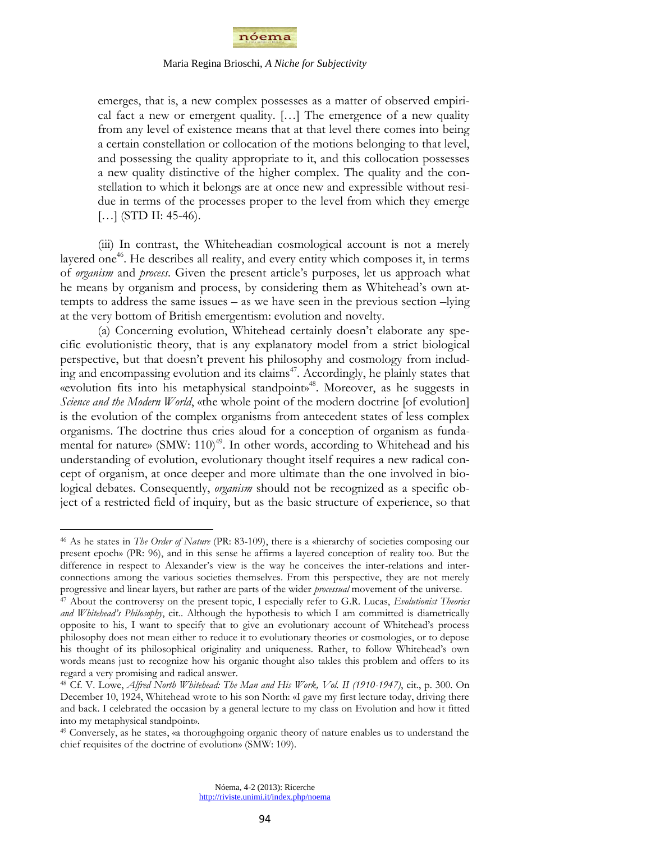

emerges, that is, a new complex possesses as a matter of observed empirical fact a new or emergent quality. […] The emergence of a new quality from any level of existence means that at that level there comes into being a certain constellation or collocation of the motions belonging to that level, and possessing the quality appropriate to it, and this collocation possesses a new quality distinctive of the higher complex. The quality and the constellation to which it belongs are at once new and expressible without residue in terms of the processes proper to the level from which they emerge [...] (STD II: 45-46).

(iii) In contrast, the Whiteheadian cosmological account is not a merely layered one<sup>46</sup>. He describes all reality, and every entity which composes it, in terms of *organism* and *process*. Given the present article"s purposes, let us approach what he means by organism and process, by considering them as Whitehead"s own attempts to address the same issues – as we have seen in the previous section –lying at the very bottom of British emergentism: evolution and novelty.

(a) Concerning evolution, Whitehead certainly doesn"t elaborate any specific evolutionistic theory, that is any explanatory model from a strict biological perspective, but that doesn"t prevent his philosophy and cosmology from including and encompassing evolution and its claims<sup>47</sup>. Accordingly, he plainly states that «evolution fits into his metaphysical standpoint» <sup>48</sup>. Moreover, as he suggests in *Science and the Modern World*, «the whole point of the modern doctrine [of evolution] is the evolution of the complex organisms from antecedent states of less complex organisms. The doctrine thus cries aloud for a conception of organism as fundamental for nature» (SMW:  $110)^{49}$ . In other words, according to Whitehead and his understanding of evolution, evolutionary thought itself requires a new radical concept of organism, at once deeper and more ultimate than the one involved in biological debates. Consequently, *organism* should not be recognized as a specific object of a restricted field of inquiry, but as the basic structure of experience, so that

<sup>46</sup> As he states in *The Order of Nature* (PR: 83-109), there is a «hierarchy of societies composing our present epoch» (PR: 96), and in this sense he affirms a layered conception of reality too. But the difference in respect to Alexander's view is the way he conceives the inter-relations and interconnections among the various societies themselves. From this perspective, they are not merely progressive and linear layers, but rather are parts of the wider *processual* movement of the universe.

<sup>47</sup> About the controversy on the present topic, I especially refer to G.R. Lucas, *Evolutionist Theories and Whitehead's Philosophy*, cit.. Although the hypothesis to which I am committed is diametrically opposite to his, I want to specify that to give an evolutionary account of Whitehead"s process philosophy does not mean either to reduce it to evolutionary theories or cosmologies, or to depose his thought of its philosophical originality and uniqueness. Rather, to follow Whitehead"s own words means just to recognize how his organic thought also takles this problem and offers to its regard a very promising and radical answer.

<sup>48</sup> Cf. V. Lowe, *Alfred North Whitehead: The Man and His Work, Vol. II (1910-1947)*, cit., p. 300. On December 10, 1924, Whitehead wrote to his son North: «I gave my first lecture today, driving there and back. I celebrated the occasion by a general lecture to my class on Evolution and how it fitted into my metaphysical standpoint».

<sup>49</sup> Conversely, as he states, «a thoroughgoing organic theory of nature enables us to understand the chief requisites of the doctrine of evolution» (SMW: 109).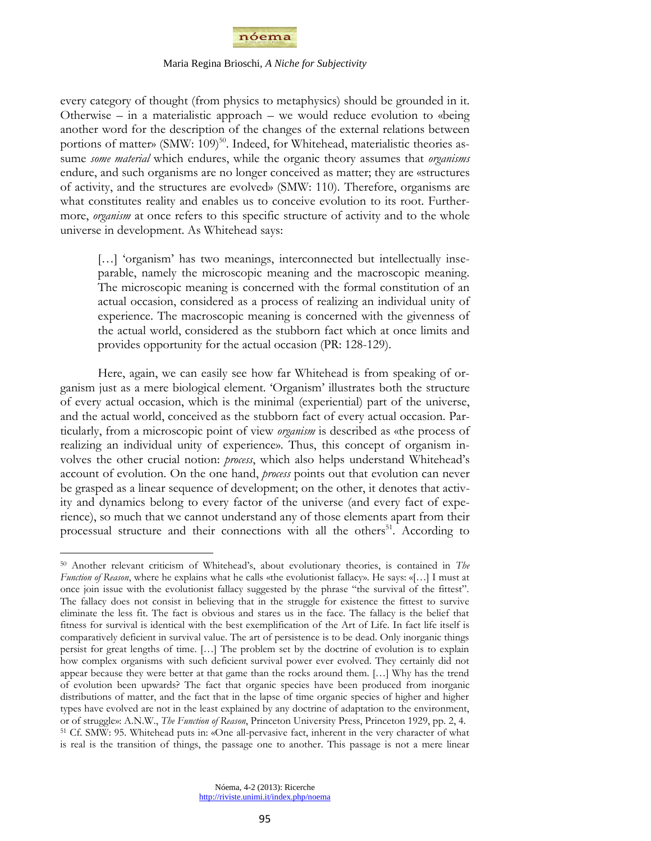

every category of thought (from physics to metaphysics) should be grounded in it. Otherwise – in a materialistic approach – we would reduce evolution to «being another word for the description of the changes of the external relations between portions of matter» (SMW: 109)<sup>50</sup>. Indeed, for Whitehead, materialistic theories assume *some material* which endures, while the organic theory assumes that *organisms*  endure, and such organisms are no longer conceived as matter; they are «structures of activity, and the structures are evolved» (SMW: 110). Therefore, organisms are what constitutes reality and enables us to conceive evolution to its root. Furthermore, *organism* at once refers to this specific structure of activity and to the whole universe in development. As Whitehead says:

[...] 'organism' has two meanings, interconnected but intellectually inseparable, namely the microscopic meaning and the macroscopic meaning. The microscopic meaning is concerned with the formal constitution of an actual occasion, considered as a process of realizing an individual unity of experience. The macroscopic meaning is concerned with the givenness of the actual world, considered as the stubborn fact which at once limits and provides opportunity for the actual occasion (PR: 128-129).

Here, again, we can easily see how far Whitehead is from speaking of organism just as a mere biological element. "Organism" illustrates both the structure of every actual occasion, which is the minimal (experiential) part of the universe, and the actual world, conceived as the stubborn fact of every actual occasion. Particularly, from a microscopic point of view *organism* is described as «the process of realizing an individual unity of experience». Thus, this concept of organism involves the other crucial notion: *process*, which also helps understand Whitehead"s account of evolution. On the one hand, *process* points out that evolution can never be grasped as a linear sequence of development; on the other, it denotes that activity and dynamics belong to every factor of the universe (and every fact of experience), so much that we cannot understand any of those elements apart from their processual structure and their connections with all the others<sup>51</sup>. According to

<sup>50</sup> Another relevant criticism of Whitehead"s, about evolutionary theories, is contained in *The Function of Reason*, where he explains what he calls «the evolutionist fallacy». He says: «[...] I must at once join issue with the evolutionist fallacy suggested by the phrase "the survival of the fittest". The fallacy does not consist in believing that in the struggle for existence the fittest to survive eliminate the less fit. The fact is obvious and stares us in the face. The fallacy is the belief that fitness for survival is identical with the best exemplification of the Art of Life. In fact life itself is comparatively deficient in survival value. The art of persistence is to be dead. Only inorganic things persist for great lengths of time. […] The problem set by the doctrine of evolution is to explain how complex organisms with such deficient survival power ever evolved. They certainly did not appear because they were better at that game than the rocks around them. […] Why has the trend of evolution been upwards? The fact that organic species have been produced from inorganic distributions of matter, and the fact that in the lapse of time organic species of higher and higher types have evolved are not in the least explained by any doctrine of adaptation to the environment, or of struggle»: A.N.W., *The Function of Reason*, Princeton University Press, Princeton 1929, pp. 2, 4. <sup>51</sup> Cf. SMW: 95. Whitehead puts in: «One all-pervasive fact, inherent in the very character of what is real is the transition of things, the passage one to another. This passage is not a mere linear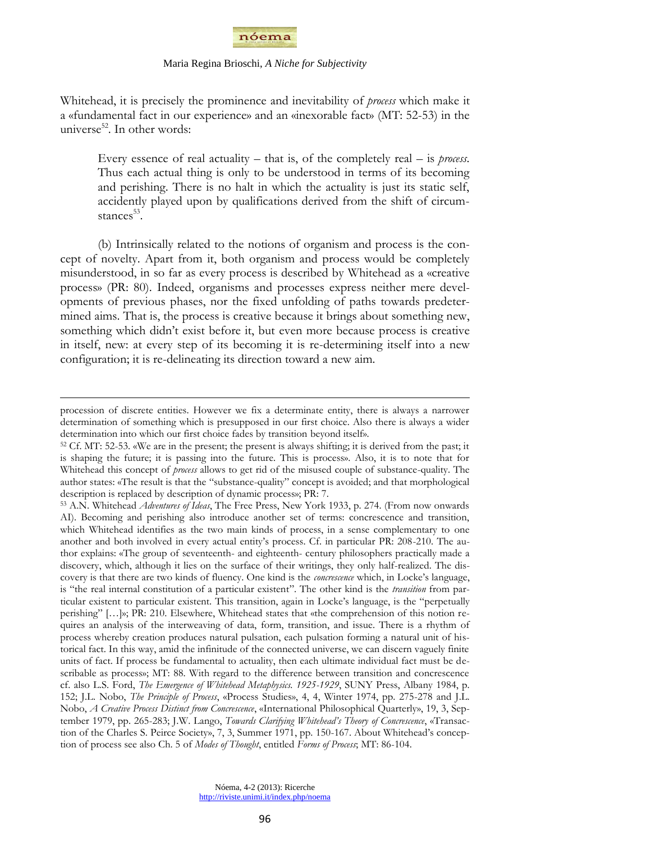

Whitehead, it is precisely the prominence and inevitability of *process* which make it a «fundamental fact in our experience» and an «inexorable fact» (MT: 52-53) in the universe<sup>52</sup>. In other words:

Every essence of real actuality – that is, of the completely real – is *process*. Thus each actual thing is only to be understood in terms of its becoming and perishing. There is no halt in which the actuality is just its static self, accidently played upon by qualifications derived from the shift of circumstances<sup>53</sup>.

(b) Intrinsically related to the notions of organism and process is the concept of novelty. Apart from it, both organism and process would be completely misunderstood, in so far as every process is described by Whitehead as a «creative process» (PR: 80). Indeed, organisms and processes express neither mere developments of previous phases, nor the fixed unfolding of paths towards predetermined aims. That is, the process is creative because it brings about something new, something which didn"t exist before it, but even more because process is creative in itself, new: at every step of its becoming it is re-determining itself into a new configuration; it is re-delineating its direction toward a new aim.

 $\overline{a}$ 

Nóema, 4-2 (2013): Ricerche http://riviste.unimi.it/index.php/noema

procession of discrete entities. However we fix a determinate entity, there is always a narrower determination of something which is presupposed in our first choice. Also there is always a wider determination into which our first choice fades by transition beyond itself».

<sup>52</sup> Cf. MT: 52-53. «We are in the present; the present is always shifting; it is derived from the past; it is shaping the future; it is passing into the future. This is process». Also, it is to note that for Whitehead this concept of *process* allows to get rid of the misused couple of substance-quality. The author states: «The result is that the "substance-quality" concept is avoided; and that morphological description is replaced by description of dynamic process»; PR: 7.

<sup>53</sup> A.N. Whitehead *Adventures of Ideas*, The Free Press, New York 1933, p. 274. (From now onwards AI). Becoming and perishing also introduce another set of terms: concrescence and transition, which Whitehead identifies as the two main kinds of process, in a sense complementary to one another and both involved in every actual entity"s process. Cf. in particular PR: 208-210. The author explains: «The group of seventeenth- and eighteenth- century philosophers practically made a discovery, which, although it lies on the surface of their writings, they only half-realized. The discovery is that there are two kinds of fluency. One kind is the *concrescence* which, in Locke's language, is "the real internal constitution of a particular existent". The other kind is the *transition* from particular existent to particular existent. This transition, again in Locke's language, is the "perpetually perishing" […]»; PR: 210. Elsewhere, Whitehead states that «the comprehension of this notion requires an analysis of the interweaving of data, form, transition, and issue. There is a rhythm of process whereby creation produces natural pulsation, each pulsation forming a natural unit of historical fact. In this way, amid the infinitude of the connected universe, we can discern vaguely finite units of fact. If process be fundamental to actuality, then each ultimate individual fact must be describable as process»; MT: 88. With regard to the difference between transition and concrescence cf. also L.S. Ford, *The Emergence of Whitehead Metaphysics. 1925-1929*, SUNY Press, Albany 1984, p. 152; J.L. Nobo, *The Principle of Process*, «Process Studies», 4, 4, Winter 1974, pp. 275-278 and J.L. Nobo, *A Creative Process Distinct from Concrescence*, «International Philosophical Quarterly», 19, 3, September 1979, pp. 265-283; J.W. Lango, *Towards Clarifying Whitehead's Theory of Concrescence*, «Transaction of the Charles S. Peirce Society», 7, 3, Summer 1971, pp. 150-167. About Whitehead's conception of process see also Ch. 5 of *Modes of Thought*, entitled *Forms of Process*; MT: 86-104.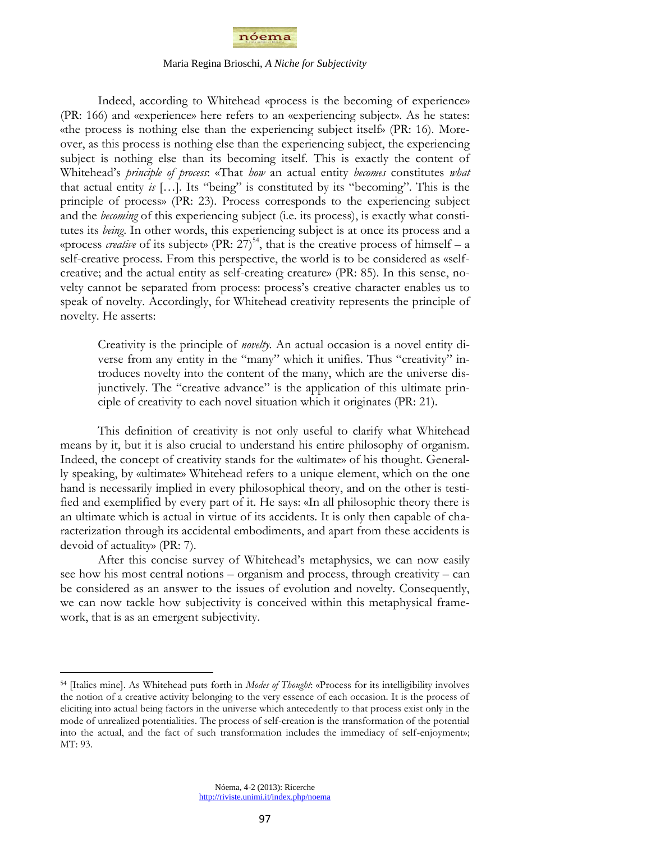

Indeed, according to Whitehead «process is the becoming of experience» (PR: 166) and «experience» here refers to an «experiencing subject». As he states: «the process is nothing else than the experiencing subject itself» (PR: 16). Moreover, as this process is nothing else than the experiencing subject, the experiencing subject is nothing else than its becoming itself. This is exactly the content of Whitehead"s *principle of process*: «That *how* an actual entity *becomes* constitutes *what*  that actual entity  $i\in$  [...]. Its "being" is constituted by its "becoming". This is the principle of process» (PR: 23). Process corresponds to the experiencing subject and the *becoming* of this experiencing subject (i.e. its process), is exactly what constitutes its *being*. In other words, this experiencing subject is at once its process and a «process *creative* of its subject» (PR:  $27$ )<sup>54</sup>, that is the creative process of himself – a self-creative process. From this perspective, the world is to be considered as «selfcreative; and the actual entity as self-creating creature» (PR: 85). In this sense, novelty cannot be separated from process: process"s creative character enables us to speak of novelty. Accordingly, for Whitehead creativity represents the principle of novelty. He asserts:

Creativity is the principle of *novelty.* An actual occasion is a novel entity diverse from any entity in the "many" which it unifies. Thus "creativity" introduces novelty into the content of the many, which are the universe disjunctively. The "creative advance" is the application of this ultimate principle of creativity to each novel situation which it originates (PR: 21).

This definition of creativity is not only useful to clarify what Whitehead means by it, but it is also crucial to understand his entire philosophy of organism. Indeed, the concept of creativity stands for the «ultimate» of his thought. Generally speaking, by «ultimate» Whitehead refers to a unique element, which on the one hand is necessarily implied in every philosophical theory, and on the other is testified and exemplified by every part of it. He says: «In all philosophic theory there is an ultimate which is actual in virtue of its accidents. It is only then capable of characterization through its accidental embodiments, and apart from these accidents is devoid of actuality» (PR: 7).

After this concise survey of Whitehead's metaphysics, we can now easily see how his most central notions – organism and process, through creativity – can be considered as an answer to the issues of evolution and novelty. Consequently, we can now tackle how subjectivity is conceived within this metaphysical framework, that is as an emergent subjectivity.

<sup>54</sup> [Italics mine]. As Whitehead puts forth in *Modes of Thought*: «Process for its intelligibility involves the notion of a creative activity belonging to the very essence of each occasion. It is the process of eliciting into actual being factors in the universe which antecedently to that process exist only in the mode of unrealized potentialities. The process of self-creation is the transformation of the potential into the actual, and the fact of such transformation includes the immediacy of self-enjoyment»; MT: 93.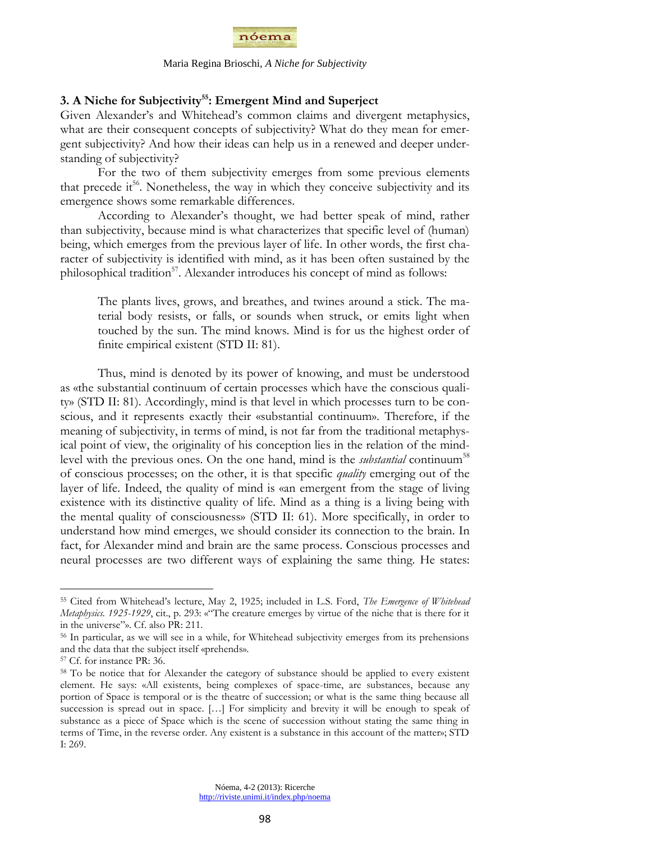

# **3. A Niche for Subjectivity<sup>55</sup>: Emergent Mind and Superject**

Given Alexander's and Whitehead's common claims and divergent metaphysics, what are their consequent concepts of subjectivity? What do they mean for emergent subjectivity? And how their ideas can help us in a renewed and deeper understanding of subjectivity?

For the two of them subjectivity emerges from some previous elements that precede it<sup>56</sup>. Nonetheless, the way in which they conceive subjectivity and its emergence shows some remarkable differences.

According to Alexander's thought, we had better speak of mind, rather than subjectivity, because mind is what characterizes that specific level of (human) being, which emerges from the previous layer of life. In other words, the first character of subjectivity is identified with mind, as it has been often sustained by the philosophical tradition<sup>57</sup>. Alexander introduces his concept of mind as follows:

The plants lives, grows, and breathes, and twines around a stick. The material body resists, or falls, or sounds when struck, or emits light when touched by the sun. The mind knows. Mind is for us the highest order of finite empirical existent (STD II: 81).

Thus, mind is denoted by its power of knowing, and must be understood as «the substantial continuum of certain processes which have the conscious quality» (STD II: 81). Accordingly, mind is that level in which processes turn to be conscious, and it represents exactly their «substantial continuum». Therefore, if the meaning of subjectivity, in terms of mind, is not far from the traditional metaphysical point of view, the originality of his conception lies in the relation of the mindlevel with the previous ones. On the one hand, mind is the *substantial* continuum<sup>58</sup> of conscious processes; on the other, it is that specific *quality* emerging out of the layer of life. Indeed, the quality of mind is «an emergent from the stage of living existence with its distinctive quality of life. Mind as a thing is a living being with the mental quality of consciousness» (STD II: 61). More specifically, in order to understand how mind emerges, we should consider its connection to the brain. In fact, for Alexander mind and brain are the same process. Conscious processes and neural processes are two different ways of explaining the same thing. He states:

<sup>55</sup> Cited from Whitehead"s lecture, May 2, 1925; included in L.S. Ford, *The Emergence of Whitehead Metaphysics. 1925-1929*, cit., p. 293: «"The creature emerges by virtue of the niche that is there for it in the universe"». Cf. also PR: 211.

<sup>56</sup> In particular, as we will see in a while, for Whitehead subjectivity emerges from its prehensions and the data that the subject itself «prehends».

<sup>57</sup> Cf. for instance PR: 36.

<sup>&</sup>lt;sup>58</sup> To be notice that for Alexander the category of substance should be applied to every existent element. He says: «All existents, being complexes of space-time, are substances, because any portion of Space is temporal or is the theatre of succession; or what is the same thing because all succession is spread out in space. […] For simplicity and brevity it will be enough to speak of substance as a piece of Space which is the scene of succession without stating the same thing in terms of Time, in the reverse order. Any existent is a substance in this account of the matter»; STD I: 269.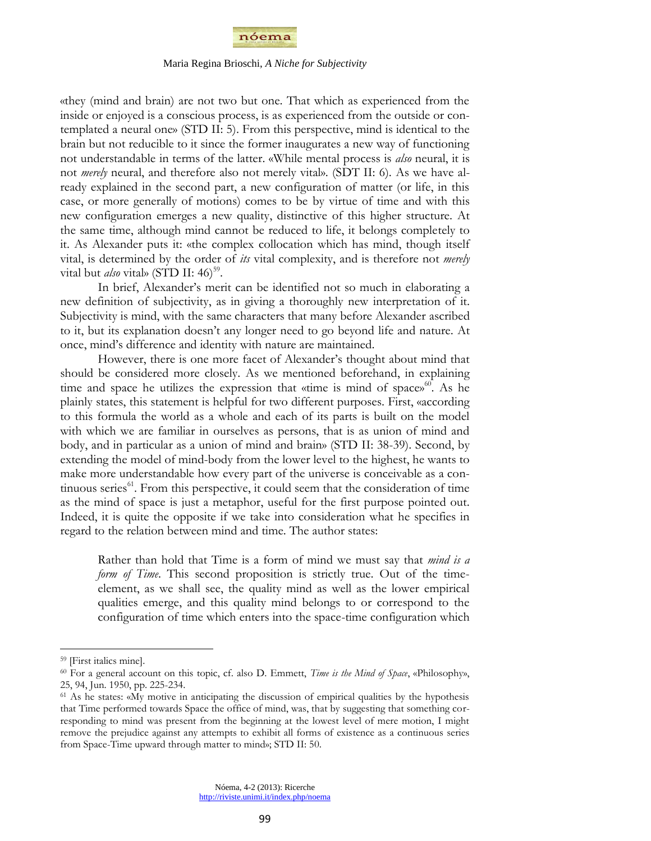

«they (mind and brain) are not two but one. That which as experienced from the inside or enjoyed is a conscious process, is as experienced from the outside or contemplated a neural one» (STD II: 5). From this perspective, mind is identical to the brain but not reducible to it since the former inaugurates a new way of functioning not understandable in terms of the latter. «While mental process is *also* neural, it is not *merely* neural, and therefore also not merely vital». (SDT II: 6). As we have already explained in the second part, a new configuration of matter (or life, in this case, or more generally of motions) comes to be by virtue of time and with this new configuration emerges a new quality, distinctive of this higher structure. At the same time, although mind cannot be reduced to life, it belongs completely to it. As Alexander puts it: «the complex collocation which has mind, though itself vital, is determined by the order of *its* vital complexity, and is therefore not *merely*  vital but *also* vital» (STD II: 46)<sup>59</sup>.

In brief, Alexander"s merit can be identified not so much in elaborating a new definition of subjectivity, as in giving a thoroughly new interpretation of it. Subjectivity is mind, with the same characters that many before Alexander ascribed to it, but its explanation doesn"t any longer need to go beyond life and nature. At once, mind"s difference and identity with nature are maintained.

However, there is one more facet of Alexander's thought about mind that should be considered more closely. As we mentioned beforehand, in explaining time and space he utilizes the expression that «time is mind of space» $60$ . As he plainly states, this statement is helpful for two different purposes. First, «according to this formula the world as a whole and each of its parts is built on the model with which we are familiar in ourselves as persons, that is as union of mind and body, and in particular as a union of mind and brain» (STD II: 38-39). Second, by extending the model of mind-body from the lower level to the highest, he wants to make more understandable how every part of the universe is conceivable as a continuous series<sup>61</sup>. From this perspective, it could seem that the consideration of time as the mind of space is just a metaphor, useful for the first purpose pointed out. Indeed, it is quite the opposite if we take into consideration what he specifies in regard to the relation between mind and time. The author states:

Rather than hold that Time is a form of mind we must say that *mind is a form of Time*. This second proposition is strictly true. Out of the timeelement, as we shall see, the quality mind as well as the lower empirical qualities emerge, and this quality mind belongs to or correspond to the configuration of time which enters into the space-time configuration which

<sup>59</sup> [First italics mine].

<sup>60</sup> For a general account on this topic, cf. also D. Emmett, *Time is the Mind of Space*, «Philosophy», 25, 94, Jun. 1950, pp. 225-234.

<sup>&</sup>lt;sup>61</sup> As he states: «My motive in anticipating the discussion of empirical qualities by the hypothesis that Time performed towards Space the office of mind, was, that by suggesting that something corresponding to mind was present from the beginning at the lowest level of mere motion, I might remove the prejudice against any attempts to exhibit all forms of existence as a continuous series from Space-Time upward through matter to mind»; STD II: 50.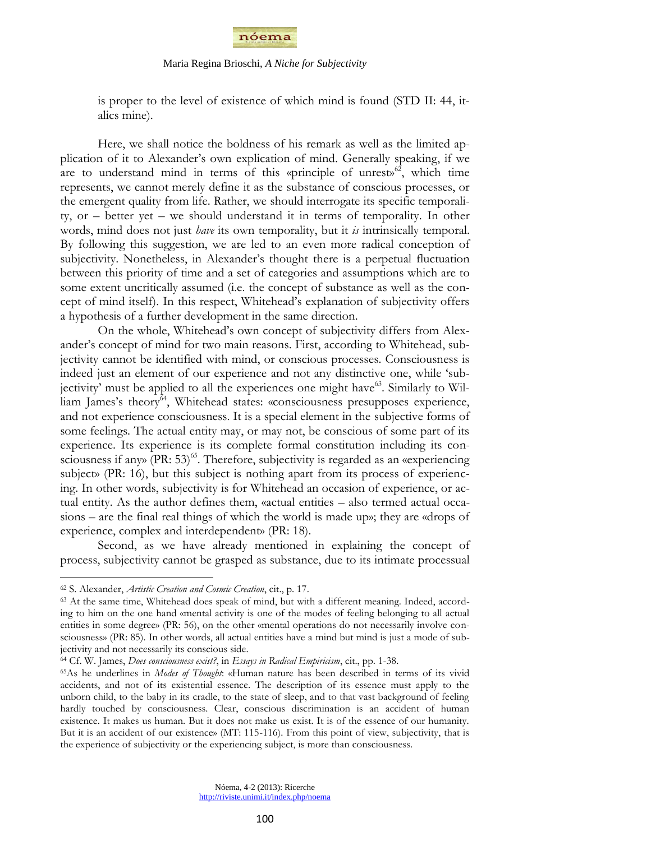

is proper to the level of existence of which mind is found (STD II: 44, italics mine).

Here, we shall notice the boldness of his remark as well as the limited application of it to Alexander's own explication of mind. Generally speaking, if we are to understand mind in terms of this «principle of unrest»<sup>62</sup>, which time represents, we cannot merely define it as the substance of conscious processes, or the emergent quality from life. Rather, we should interrogate its specific temporality, or – better yet – we should understand it in terms of temporality. In other words, mind does not just *have* its own temporality, but it *is* intrinsically temporal. By following this suggestion, we are led to an even more radical conception of subjectivity. Nonetheless, in Alexander's thought there is a perpetual fluctuation between this priority of time and a set of categories and assumptions which are to some extent uncritically assumed (i.e. the concept of substance as well as the concept of mind itself). In this respect, Whitehead"s explanation of subjectivity offers a hypothesis of a further development in the same direction.

On the whole, Whitehead"s own concept of subjectivity differs from Alexander"s concept of mind for two main reasons. First, according to Whitehead, subjectivity cannot be identified with mind, or conscious processes. Consciousness is indeed just an element of our experience and not any distinctive one, while "subjectivity' must be applied to all the experiences one might have<sup>63</sup>. Similarly to William James's theory<sup>64</sup>, Whitehead states: «consciousness presupposes experience, and not experience consciousness. It is a special element in the subjective forms of some feelings. The actual entity may, or may not, be conscious of some part of its experience. Its experience is its complete formal constitution including its consciousness if any» (PR: 53)<sup>65</sup>. Therefore, subjectivity is regarded as an «experiencing subject» (PR: 16), but this subject is nothing apart from its process of experiencing. In other words, subjectivity is for Whitehead an occasion of experience, or actual entity. As the author defines them, «actual entities – also termed actual occasions – are the final real things of which the world is made up»; they are «drops of experience, complex and interdependent» (PR: 18).

Second, as we have already mentioned in explaining the concept of process, subjectivity cannot be grasped as substance, due to its intimate processual

<sup>62</sup> S. Alexander, *Artistic Creation and Cosmic Creation*, cit., p. 17.

<sup>63</sup> At the same time, Whitehead does speak of mind, but with a different meaning. Indeed, according to him on the one hand «mental activity is one of the modes of feeling belonging to all actual entities in some degree» (PR: 56), on the other «mental operations do not necessarily involve consciousness» (PR: 85). In other words, all actual entities have a mind but mind is just a mode of subjectivity and not necessarily its conscious side.

<sup>64</sup> Cf. W. James, *Does consciousness exist?*, in *Essays in Radical Empiricism*, cit., pp. 1-38.

<sup>65</sup>As he underlines in *Modes of Thought*: «Human nature has been described in terms of its vivid accidents, and not of its existential essence. The description of its essence must apply to the unborn child, to the baby in its cradle, to the state of sleep, and to that vast background of feeling hardly touched by consciousness. Clear, conscious discrimination is an accident of human existence. It makes us human. But it does not make us exist. It is of the essence of our humanity. But it is an accident of our existence» (MT: 115-116). From this point of view, subjectivity, that is the experience of subjectivity or the experiencing subject, is more than consciousness.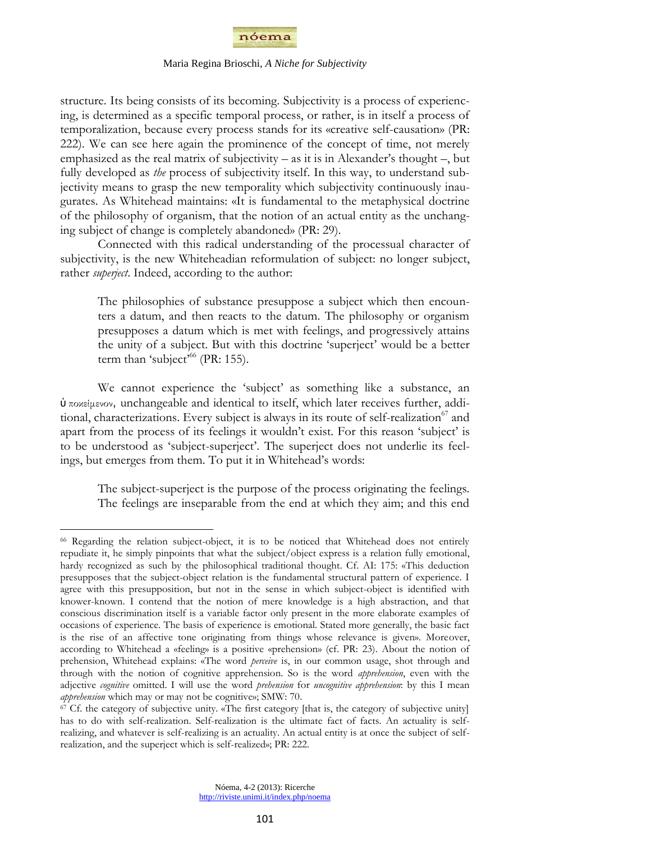

structure. Its being consists of its becoming. Subjectivity is a process of experiencing, is determined as a specific temporal process, or rather, is in itself a process of temporalization, because every process stands for its «creative self-causation» (PR: 222). We can see here again the prominence of the concept of time, not merely emphasized as the real matrix of subjectivity – as it is in Alexander's thought –, but fully developed as *the* process of subjectivity itself. In this way, to understand subjectivity means to grasp the new temporality which subjectivity continuously inaugurates. As Whitehead maintains: «It is fundamental to the metaphysical doctrine of the philosophy of organism, that the notion of an actual entity as the unchanging subject of change is completely abandoned» (PR: 29).

Connected with this radical understanding of the processual character of subjectivity, is the new Whiteheadian reformulation of subject: no longer subject, rather *superject*. Indeed, according to the author:

The philosophies of substance presuppose a subject which then encounters a datum, and then reacts to the datum. The philosophy or organism presupposes a datum which is met with feelings, and progressively attains the unity of a subject. But with this doctrine "superject" would be a better term than 'subject<sup>'66</sup> (PR: 155).

We cannot experience the 'subject' as something like a substance, an ὑ ποκείμενον, unchangeable and identical to itself, which later receives further, additional, characterizations. Every subject is always in its route of self-realization<sup>67</sup> and apart from the process of its feelings it wouldn't exist. For this reason 'subject' is to be understood as "subject-superject". The superject does not underlie its feelings, but emerges from them. To put it in Whitehead"s words:

The subject-superject is the purpose of the process originating the feelings. The feelings are inseparable from the end at which they aim; and this end

<sup>66</sup> Regarding the relation subject-object, it is to be noticed that Whitehead does not entirely repudiate it, he simply pinpoints that what the subject/object express is a relation fully emotional, hardy recognized as such by the philosophical traditional thought. Cf. AI: 175: «This deduction presupposes that the subject-object relation is the fundamental structural pattern of experience. I agree with this presupposition, but not in the sense in which subject-object is identified with knower-known. I contend that the notion of mere knowledge is a high abstraction, and that conscious discrimination itself is a variable factor only present in the more elaborate examples of occasions of experience. The basis of experience is emotional. Stated more generally, the basic fact is the rise of an affective tone originating from things whose relevance is given». Moreover, according to Whitehead a «feeling» is a positive «prehension» (cf. PR: 23). About the notion of prehension, Whitehead explains: «The word *perceive* is, in our common usage, shot through and through with the notion of cognitive apprehension. So is the word *apprehension*, even with the adjective *cognitive* omitted. I will use the word *prehension* for *uncognitive apprehension*: by this I mean *apprehension* which may or may not be cognitive»; SMW: 70.

 $67$  Cf. the category of subjective unity. «The first category [that is, the category of subjective unity] has to do with self-realization. Self-realization is the ultimate fact of facts. An actuality is selfrealizing, and whatever is self-realizing is an actuality. An actual entity is at once the subject of selfrealization, and the superject which is self-realized»; PR: 222.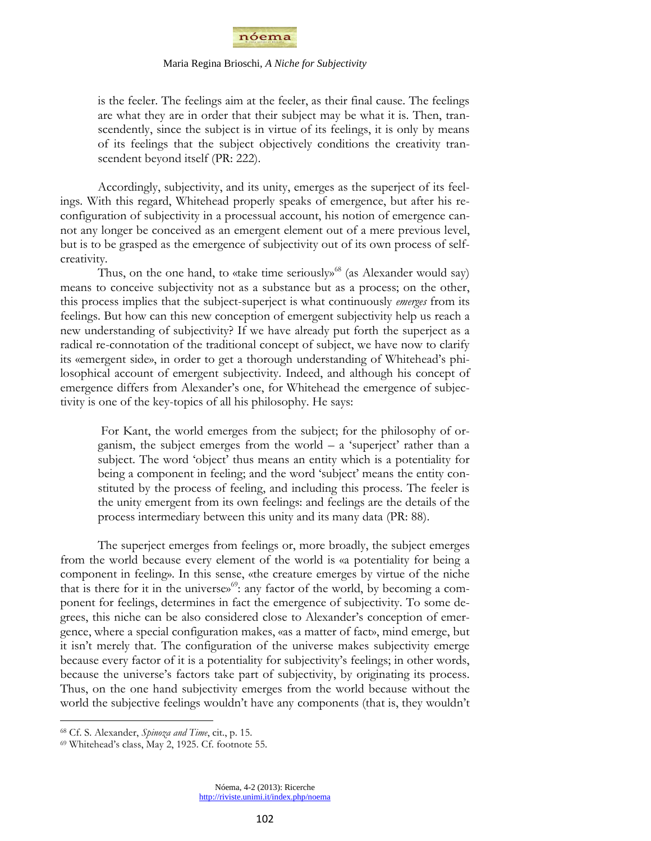

is the feeler. The feelings aim at the feeler, as their final cause. The feelings are what they are in order that their subject may be what it is. Then, transcendently, since the subject is in virtue of its feelings, it is only by means of its feelings that the subject objectively conditions the creativity transcendent beyond itself (PR: 222).

Accordingly, subjectivity, and its unity, emerges as the superject of its feelings. With this regard, Whitehead properly speaks of emergence, but after his reconfiguration of subjectivity in a processual account, his notion of emergence cannot any longer be conceived as an emergent element out of a mere previous level, but is to be grasped as the emergence of subjectivity out of its own process of selfcreativity.

Thus, on the one hand, to «take time seriously»<sup>68</sup> (as Alexander would say) means to conceive subjectivity not as a substance but as a process; on the other, this process implies that the subject-superject is what continuously *emerges* from its feelings. But how can this new conception of emergent subjectivity help us reach a new understanding of subjectivity? If we have already put forth the superject as a radical re-connotation of the traditional concept of subject, we have now to clarify its «emergent side», in order to get a thorough understanding of Whitehead"s philosophical account of emergent subjectivity. Indeed, and although his concept of emergence differs from Alexander's one, for Whitehead the emergence of subjectivity is one of the key-topics of all his philosophy. He says:

For Kant, the world emerges from the subject; for the philosophy of organism, the subject emerges from the world  $- a$  'superject' rather than a subject. The word "object" thus means an entity which is a potentiality for being a component in feeling; and the word 'subject' means the entity constituted by the process of feeling, and including this process. The feeler is the unity emergent from its own feelings: and feelings are the details of the process intermediary between this unity and its many data (PR: 88).

The superject emerges from feelings or, more broadly, the subject emerges from the world because every element of the world is «a potentiality for being a component in feeling». In this sense, «the creature emerges by virtue of the niche that is there for it in the universe»<sup>69</sup>: any factor of the world, by becoming a component for feelings, determines in fact the emergence of subjectivity. To some degrees, this niche can be also considered close to Alexander"s conception of emergence, where a special configuration makes, «as a matter of fact», mind emerge, but it isn"t merely that. The configuration of the universe makes subjectivity emerge because every factor of it is a potentiality for subjectivity's feelings; in other words, because the universe"s factors take part of subjectivity, by originating its process. Thus, on the one hand subjectivity emerges from the world because without the world the subjective feelings wouldn"t have any components (that is, they wouldn"t

 $\overline{a}$ 

Nóema, 4-2 (2013): Ricerche http://riviste.unimi.it/index.php/noema

<sup>68</sup> Cf. S. Alexander, *Spinoza and Time*, cit., p. 15.

<sup>69</sup> Whitehead"s class, May 2, 1925. Cf. footnote 55.